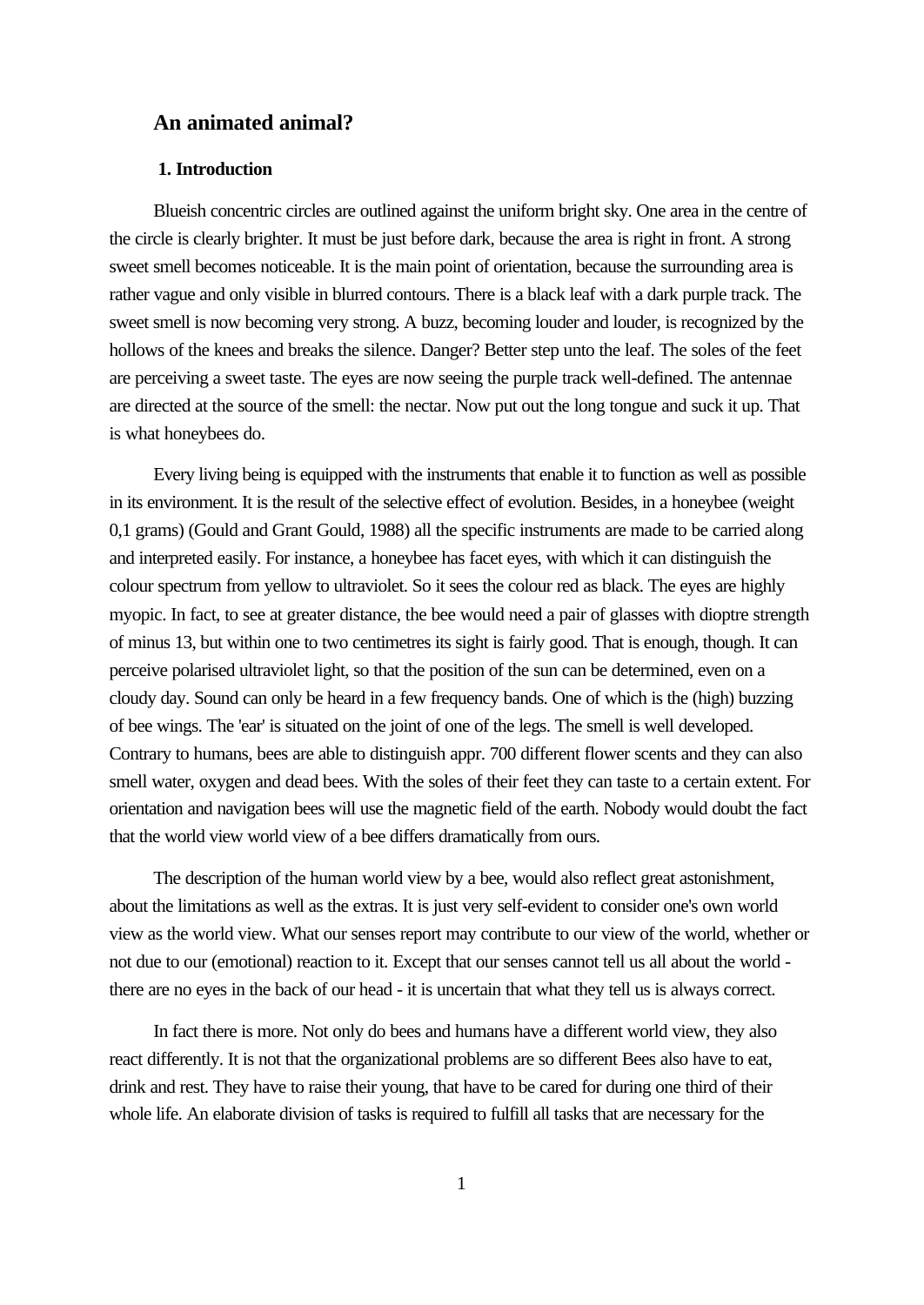# **An animated animal?**

# **1. Introduction**

Blueish concentric circles are outlined against the uniform bright sky. One area in the centre of the circle is clearly brighter. It must be just before dark, because the area is right in front. A strong sweet smell becomes noticeable. It is the main point of orientation, because the surrounding area is rather vague and only visible in blurred contours. There is a black leaf with a dark purple track. The sweet smell is now becoming very strong. A buzz, becoming louder and louder, is recognized by the hollows of the knees and breaks the silence. Danger? Better step unto the leaf. The soles of the feet are perceiving a sweet taste. The eyes are now seeing the purple track well-defined. The antennae are directed at the source of the smell: the nectar. Now put out the long tongue and suck it up. That is what honeybees do.

Every living being is equipped with the instruments that enable it to function as well as possible in its environment. It is the result of the selective effect of evolution. Besides, in a honeybee (weight 0,1 grams) (Gould and Grant Gould, 1988) all the specific instruments are made to be carried along and interpreted easily. For instance, a honeybee has facet eyes, with which it can distinguish the colour spectrum from yellow to ultraviolet. So it sees the colour red as black. The eyes are highly myopic. In fact, to see at greater distance, the bee would need a pair of glasses with dioptre strength of minus 13, but within one to two centimetres its sight is fairly good. That is enough, though. It can perceive polarised ultraviolet light, so that the position of the sun can be determined, even on a cloudy day. Sound can only be heard in a few frequency bands. One of which is the (high) buzzing of bee wings. The 'ear' is situated on the joint of one of the legs. The smell is well developed. Contrary to humans, bees are able to distinguish appr. 700 different flower scents and they can also smell water, oxygen and dead bees. With the soles of their feet they can taste to a certain extent. For orientation and navigation bees will use the magnetic field of the earth. Nobody would doubt the fact that the world view world view of a bee differs dramatically from ours.

The description of the human world view by a bee, would also reflect great astonishment, about the limitations as well as the extras. It is just very self-evident to consider one's own world view as the world view. What our senses report may contribute to our view of the world, whether or not due to our (emotional) reaction to it. Except that our senses cannot tell us all about the world there are no eyes in the back of our head - it is uncertain that what they tell us is always correct.

In fact there is more. Not only do bees and humans have a different world view, they also react differently. It is not that the organizational problems are so different Bees also have to eat, drink and rest. They have to raise their young, that have to be cared for during one third of their whole life. An elaborate division of tasks is required to fulfill all tasks that are necessary for the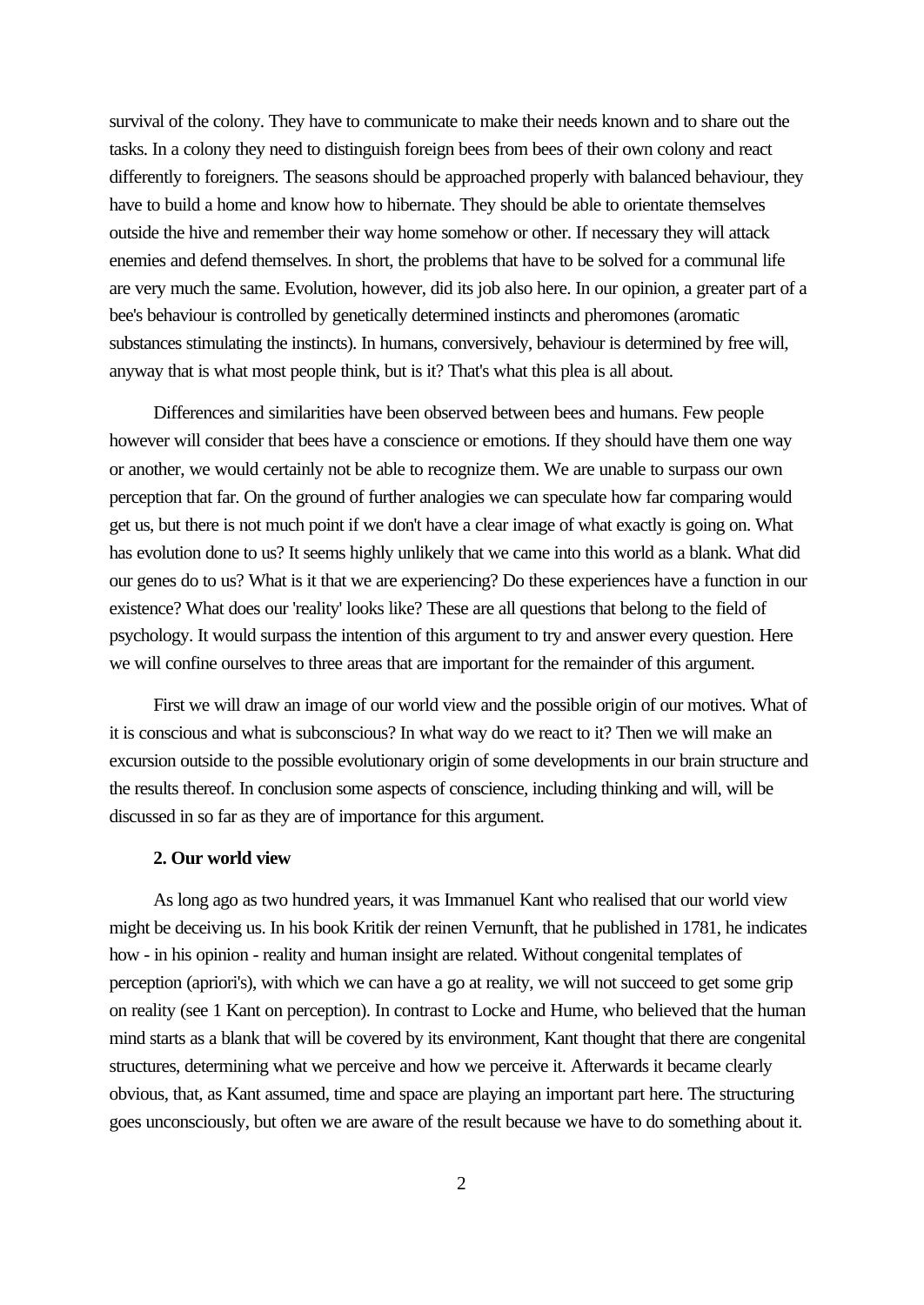survival of the colony. They have to communicate to make their needs known and to share out the tasks. In a colony they need to distinguish foreign bees from bees of their own colony and react differently to foreigners. The seasons should be approached properly with balanced behaviour, they have to build a home and know how to hibernate. They should be able to orientate themselves outside the hive and remember their way home somehow or other. If necessary they will attack enemies and defend themselves. In short, the problems that have to be solved for a communal life are very much the same. Evolution, however, did its job also here. In our opinion, a greater part of a bee's behaviour is controlled by genetically determined instincts and pheromones (aromatic substances stimulating the instincts). In humans, conversively, behaviour is determined by free will, anyway that is what most people think, but is it? That's what this plea is all about.

Differences and similarities have been observed between bees and humans. Few people however will consider that bees have a conscience or emotions. If they should have them one way or another, we would certainly not be able to recognize them. We are unable to surpass our own perception that far. On the ground of further analogies we can speculate how far comparing would get us, but there is not much point if we don't have a clear image of what exactly is going on. What has evolution done to us? It seems highly unlikely that we came into this world as a blank. What did our genes do to us? What is it that we are experiencing? Do these experiences have a function in our existence? What does our 'reality' looks like? These are all questions that belong to the field of psychology. It would surpass the intention of this argument to try and answer every question. Here we will confine ourselves to three areas that are important for the remainder of this argument.

First we will draw an image of our world view and the possible origin of our motives. What of it is conscious and what is subconscious? In what way do we react to it? Then we will make an excursion outside to the possible evolutionary origin of some developments in our brain structure and the results thereof. In conclusion some aspects of conscience, including thinking and will, will be discussed in so far as they are of importance for this argument.

# **2. Our world view**

As long ago as two hundred years, it was Immanuel Kant who realised that our world view might be deceiving us. In his book Kritik der reinen Vernunft, that he published in 1781, he indicates how - in his opinion - reality and human insight are related. Without congenital templates of perception (apriori's), with which we can have a go at reality, we will not succeed to get some grip on reality (see 1 Kant on perception). In contrast to Locke and Hume, who believed that the human mind starts as a blank that will be covered by its environment, Kant thought that there are congenital structures, determining what we perceive and how we perceive it. Afterwards it became clearly obvious, that, as Kant assumed, time and space are playing an important part here. The structuring goes unconsciously, but often we are aware of the result because we have to do something about it.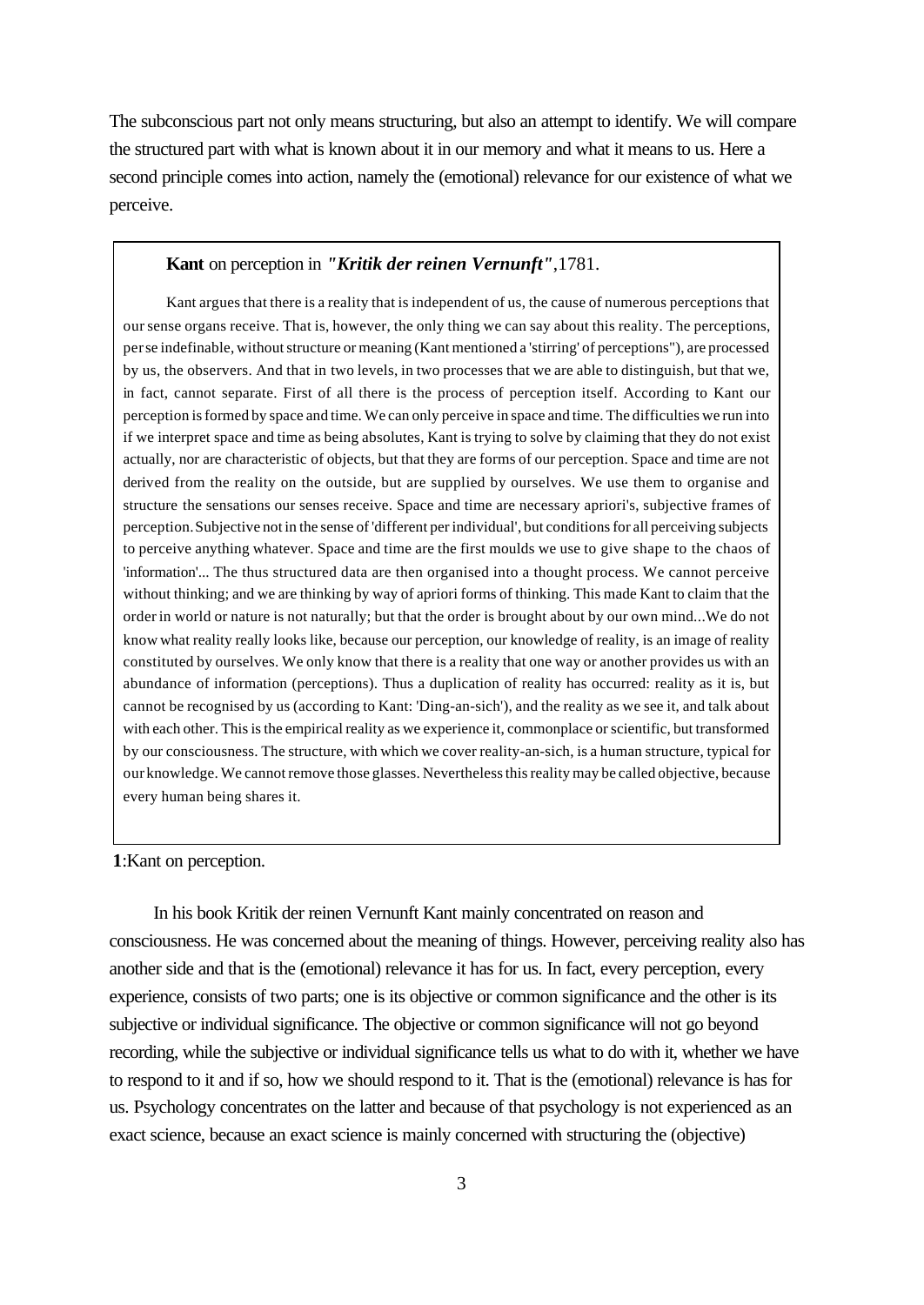The subconscious part not only means structuring, but also an attempt to identify. We will compare the structured part with what is known about it in our memory and what it means to us. Here a second principle comes into action, namely the (emotional) relevance for our existence of what we perceive.

# **Kant** on perception in *"Kritik der reinen Vernunft"*,1781.

Kant argues that there is a reality that is independent of us, the cause of numerous perceptions that our sense organs receive. That is, however, the only thing we can say about this reality. The perceptions, per se indefinable, without structure or meaning (Kant mentioned a 'stirring' of perceptions"), are processed by us, the observers. And that in two levels, in two processes that we are able to distinguish, but that we, in fact, cannot separate. First of all there is the process of perception itself. According to Kant our perception is formed by space and time. We can only perceive in space and time. The difficulties we run into if we interpret space and time as being absolutes, Kant is trying to solve by claiming that they do not exist actually, nor are characteristic of objects, but that they are forms of our perception. Space and time are not derived from the reality on the outside, but are supplied by ourselves. We use them to organise and structure the sensations our senses receive. Space and time are necessary apriori's, subjective frames of perception. Subjective not in the sense of 'different per individual', but conditions for all perceiving subjects to perceive anything whatever. Space and time are the first moulds we use to give shape to the chaos of 'information'... The thus structured data are then organised into a thought process. We cannot perceive without thinking; and we are thinking by way of apriori forms of thinking. This made Kant to claim that the order in world or nature is not naturally; but that the order is brought about by our own mind...We do not know what reality really looks like, because our perception, our knowledge of reality, is an image of reality constituted by ourselves. We only know that there is a reality that one way or another provides us with an abundance of information (perceptions). Thus a duplication of reality has occurred: reality as it is, but cannot be recognised by us (according to Kant: 'Ding-an-sich'), and the reality as we see it, and talk about with each other. This is the empirical reality as we experience it, commonplace or scientific, but transformed by our consciousness. The structure, with which we cover reality-an-sich, is a human structure, typical for our knowledge. We cannot remove those glasses. Nevertheless this reality may be called objective, because every human being shares it.

#### **1**:Kant on perception.

In his book Kritik der reinen Vernunft Kant mainly concentrated on reason and consciousness. He was concerned about the meaning of things. However, perceiving reality also has another side and that is the (emotional) relevance it has for us. In fact, every perception, every experience, consists of two parts; one is its objective or common significance and the other is its subjective or individual significance. The objective or common significance will not go beyond recording, while the subjective or individual significance tells us what to do with it, whether we have to respond to it and if so, how we should respond to it. That is the (emotional) relevance is has for us. Psychology concentrates on the latter and because of that psychology is not experienced as an exact science, because an exact science is mainly concerned with structuring the (objective)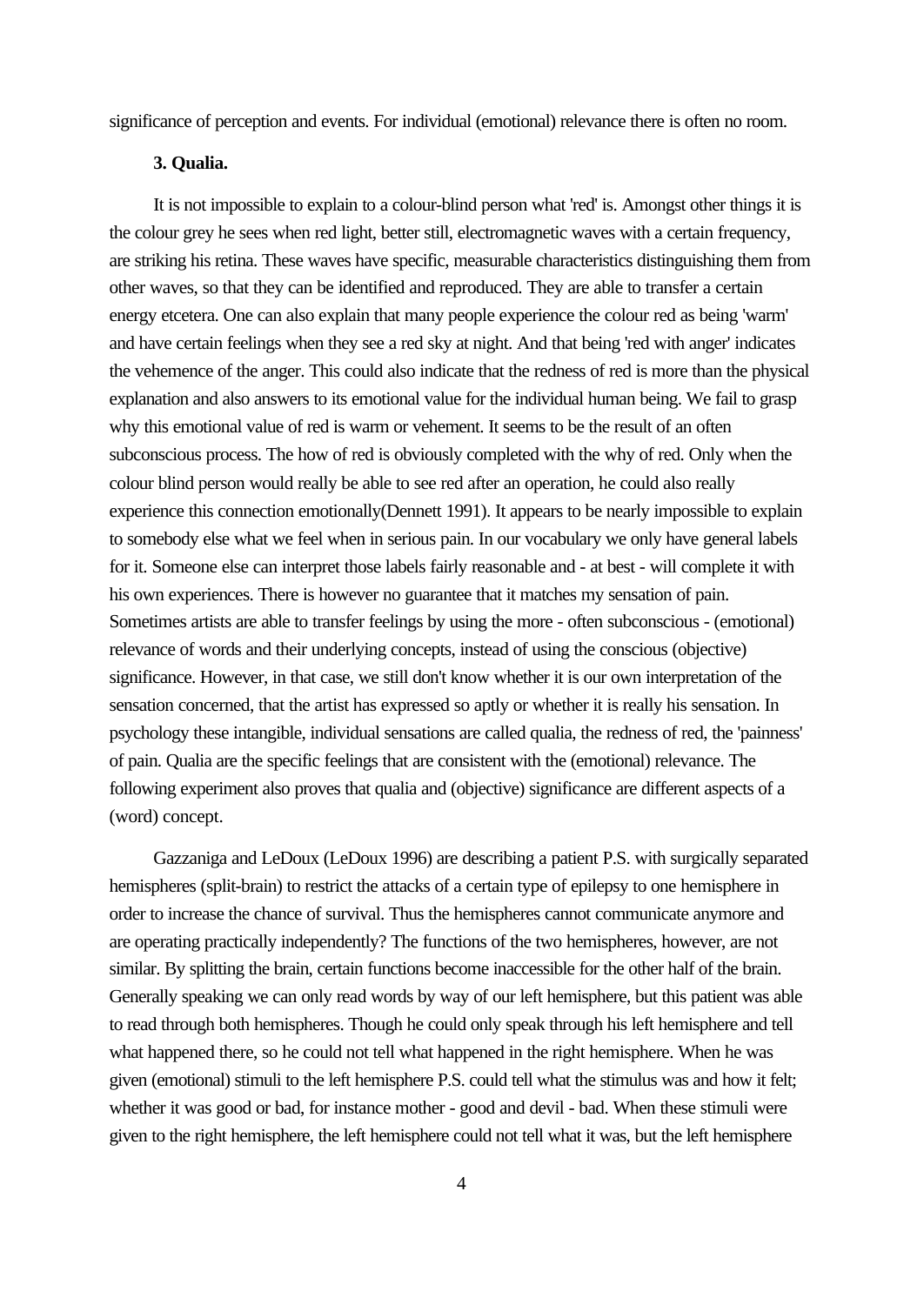significance of perception and events. For individual (emotional) relevance there is often no room.

# **3. Qualia.**

It is not impossible to explain to a colour-blind person what 'red' is. Amongst other things it is the colour grey he sees when red light, better still, electromagnetic waves with a certain frequency, are striking his retina. These waves have specific, measurable characteristics distinguishing them from other waves, so that they can be identified and reproduced. They are able to transfer a certain energy etcetera. One can also explain that many people experience the colour red as being 'warm' and have certain feelings when they see a red sky at night. And that being 'red with anger' indicates the vehemence of the anger. This could also indicate that the redness of red is more than the physical explanation and also answers to its emotional value for the individual human being. We fail to grasp why this emotional value of red is warm or vehement. It seems to be the result of an often subconscious process. The how of red is obviously completed with the why of red. Only when the colour blind person would really be able to see red after an operation, he could also really experience this connection emotionally(Dennett 1991). It appears to be nearly impossible to explain to somebody else what we feel when in serious pain. In our vocabulary we only have general labels for it. Someone else can interpret those labels fairly reasonable and - at best - will complete it with his own experiences. There is however no guarantee that it matches my sensation of pain. Sometimes artists are able to transfer feelings by using the more - often subconscious - (emotional) relevance of words and their underlying concepts, instead of using the conscious (objective) significance. However, in that case, we still don't know whether it is our own interpretation of the sensation concerned, that the artist has expressed so aptly or whether it is really his sensation. In psychology these intangible, individual sensations are called qualia, the redness of red, the 'painness' of pain. Qualia are the specific feelings that are consistent with the (emotional) relevance. The following experiment also proves that qualia and (objective) significance are different aspects of a (word) concept.

Gazzaniga and LeDoux (LeDoux 1996) are describing a patient P.S. with surgically separated hemispheres (split-brain) to restrict the attacks of a certain type of epilepsy to one hemisphere in order to increase the chance of survival. Thus the hemispheres cannot communicate anymore and are operating practically independently? The functions of the two hemispheres, however, are not similar. By splitting the brain, certain functions become inaccessible for the other half of the brain. Generally speaking we can only read words by way of our left hemisphere, but this patient was able to read through both hemispheres. Though he could only speak through his left hemisphere and tell what happened there, so he could not tell what happened in the right hemisphere. When he was given (emotional) stimuli to the left hemisphere P.S. could tell what the stimulus was and how it felt; whether it was good or bad, for instance mother - good and devil - bad. When these stimuli were given to the right hemisphere, the left hemisphere could not tell what it was, but the left hemisphere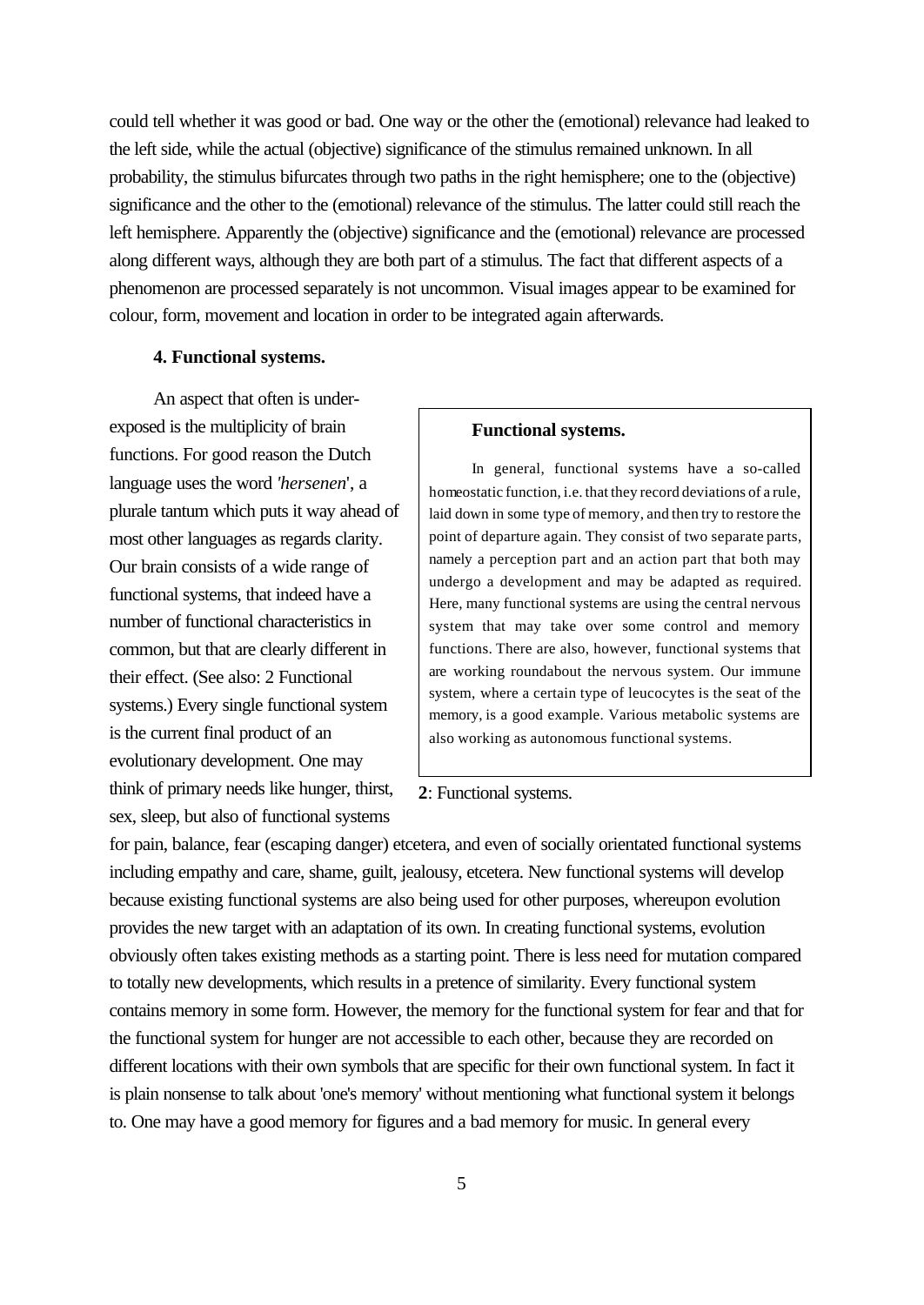could tell whether it was good or bad. One way or the other the (emotional) relevance had leaked to the left side, while the actual (objective) significance of the stimulus remained unknown. In all probability, the stimulus bifurcates through two paths in the right hemisphere; one to the (objective) significance and the other to the (emotional) relevance of the stimulus. The latter could still reach the left hemisphere. Apparently the (objective) significance and the (emotional) relevance are processed along different ways, although they are both part of a stimulus. The fact that different aspects of a phenomenon are processed separately is not uncommon. Visual images appear to be examined for colour, form, movement and location in order to be integrated again afterwards.

# **4. Functional systems.**

An aspect that often is underexposed is the multiplicity of brain functions. For good reason the Dutch language uses the word *'hersenen*', a plurale tantum which puts it way ahead of most other languages as regards clarity. Our brain consists of a wide range of functional systems, that indeed have a number of functional characteristics in common, but that are clearly different in their effect. (See also: 2 Functional systems.) Every single functional system is the current final product of an evolutionary development. One may think of primary needs like hunger, thirst, sex, sleep, but also of functional systems

## **Functional systems.**

In general, functional systems have a so-called homeostatic function, i.e. that they record deviations of a rule, laid down in some type of memory, and then try to restore the point of departure again. They consist of two separate parts, namely a perception part and an action part that both may undergo a development and may be adapted as required. Here, many functional systems are using the central nervous system that may take over some control and memory functions. There are also, however, functional systems that are working roundabout the nervous system. Our immune system, where a certain type of leucocytes is the seat of the memory, is a good example. Various metabolic systems are also working as autonomous functional systems.

# **2**: Functional systems.

for pain, balance, fear (escaping danger) etcetera, and even of socially orientated functional systems including empathy and care, shame, guilt, jealousy, etcetera. New functional systems will develop because existing functional systems are also being used for other purposes, whereupon evolution provides the new target with an adaptation of its own. In creating functional systems, evolution obviously often takes existing methods as a starting point. There is less need for mutation compared to totally new developments, which results in a pretence of similarity. Every functional system contains memory in some form. However, the memory for the functional system for fear and that for the functional system for hunger are not accessible to each other, because they are recorded on different locations with their own symbols that are specific for their own functional system. In fact it is plain nonsense to talk about 'one's memory' without mentioning what functional system it belongs to. One may have a good memory for figures and a bad memory for music. In general every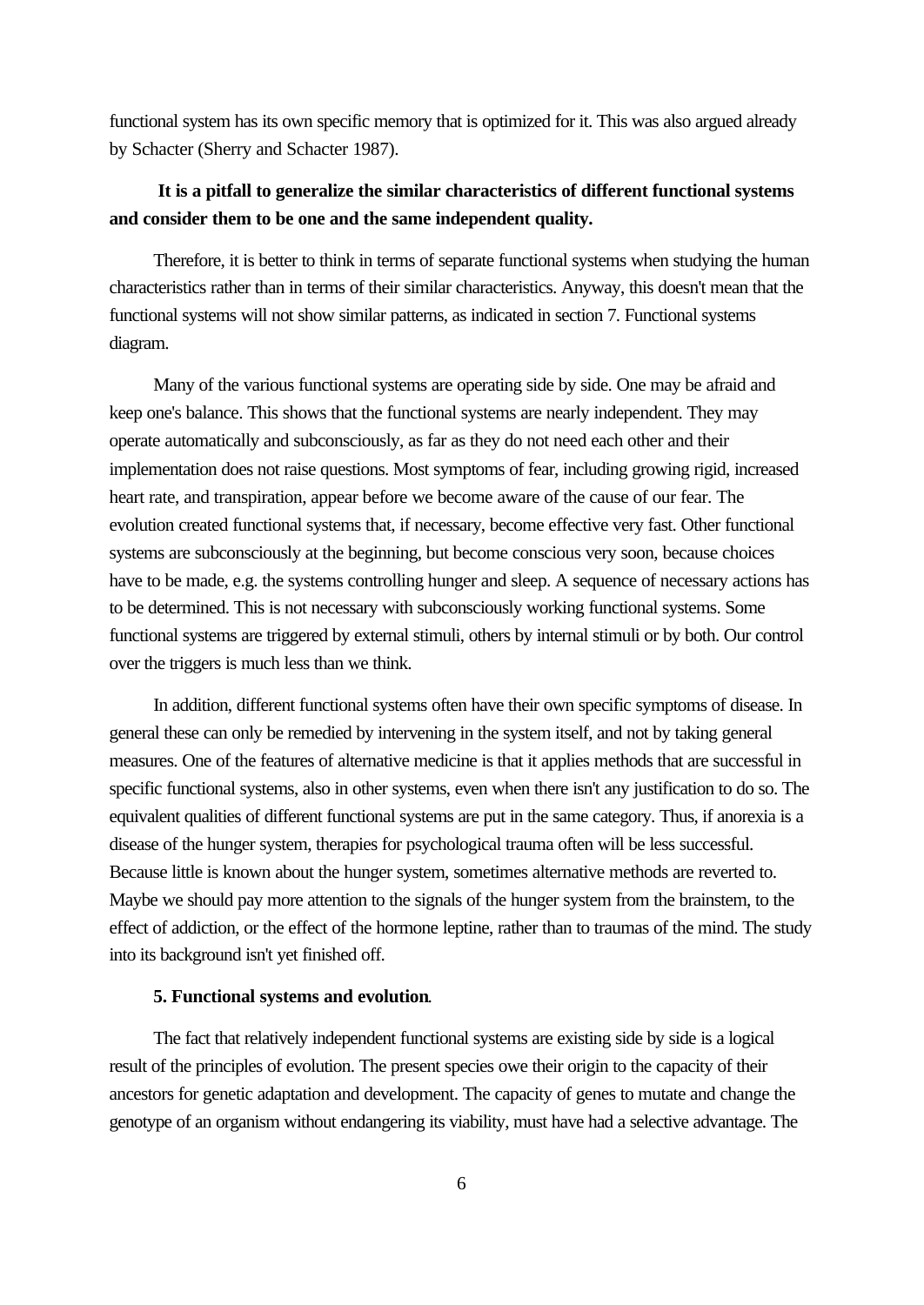functional system has its own specific memory that is optimized for it. This was also argued already by Schacter (Sherry and Schacter 1987).

# **It is a pitfall to generalize the similar characteristics of different functional systems and consider them to be one and the same independent quality.**

Therefore, it is better to think in terms of separate functional systems when studying the human characteristics rather than in terms of their similar characteristics. Anyway, this doesn't mean that the functional systems will not show similar patterns, as indicated in section 7. Functional systems diagram.

Many of the various functional systems are operating side by side. One may be afraid and keep one's balance. This shows that the functional systems are nearly independent. They may operate automatically and subconsciously, as far as they do not need each other and their implementation does not raise questions. Most symptoms of fear, including growing rigid, increased heart rate, and transpiration, appear before we become aware of the cause of our fear. The evolution created functional systems that, if necessary, become effective very fast. Other functional systems are subconsciously at the beginning, but become conscious very soon, because choices have to be made, e.g. the systems controlling hunger and sleep. A sequence of necessary actions has to be determined. This is not necessary with subconsciously working functional systems. Some functional systems are triggered by external stimuli, others by internal stimuli or by both. Our control over the triggers is much less than we think.

In addition, different functional systems often have their own specific symptoms of disease. In general these can only be remedied by intervening in the system itself, and not by taking general measures. One of the features of alternative medicine is that it applies methods that are successful in specific functional systems, also in other systems, even when there isn't any justification to do so. The equivalent qualities of different functional systems are put in the same category. Thus, if anorexia is a disease of the hunger system, therapies for psychological trauma often will be less successful. Because little is known about the hunger system, sometimes alternative methods are reverted to. Maybe we should pay more attention to the signals of the hunger system from the brainstem, to the effect of addiction, or the effect of the hormone leptine, rather than to traumas of the mind. The study into its background isn't yet finished off.

# **5. Functional systems and evolution**.

The fact that relatively independent functional systems are existing side by side is a logical result of the principles of evolution. The present species owe their origin to the capacity of their ancestors for genetic adaptation and development. The capacity of genes to mutate and change the genotype of an organism without endangering its viability, must have had a selective advantage. The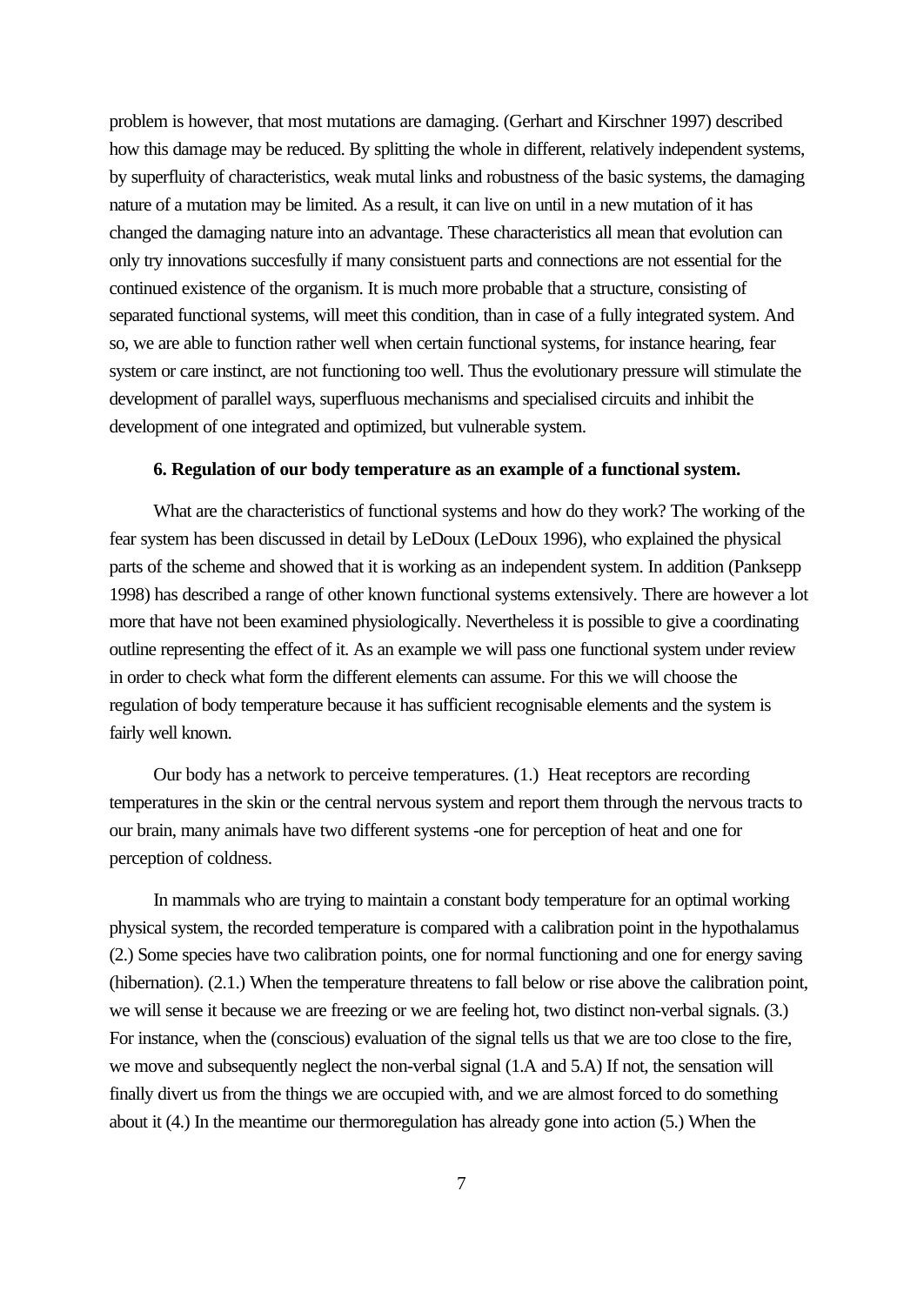problem is however, that most mutations are damaging. (Gerhart and Kirschner 1997) described how this damage may be reduced. By splitting the whole in different, relatively independent systems, by superfluity of characteristics, weak mutal links and robustness of the basic systems, the damaging nature of a mutation may be limited. As a result, it can live on until in a new mutation of it has changed the damaging nature into an advantage. These characteristics all mean that evolution can only try innovations succesfully if many consistuent parts and connections are not essential for the continued existence of the organism. It is much more probable that a structure, consisting of separated functional systems, will meet this condition, than in case of a fully integrated system. And so, we are able to function rather well when certain functional systems, for instance hearing, fear system or care instinct, are not functioning too well. Thus the evolutionary pressure will stimulate the development of parallel ways, superfluous mechanisms and specialised circuits and inhibit the development of one integrated and optimized, but vulnerable system.

## **6. Regulation of our body temperature as an example of a functional system.**

What are the characteristics of functional systems and how do they work? The working of the fear system has been discussed in detail by LeDoux (LeDoux 1996), who explained the physical parts of the scheme and showed that it is working as an independent system. In addition (Panksepp 1998) has described a range of other known functional systems extensively. There are however a lot more that have not been examined physiologically. Nevertheless it is possible to give a coordinating outline representing the effect of it. As an example we will pass one functional system under review in order to check what form the different elements can assume. For this we will choose the regulation of body temperature because it has sufficient recognisable elements and the system is fairly well known.

Our body has a network to perceive temperatures. (1.) Heat receptors are recording temperatures in the skin or the central nervous system and report them through the nervous tracts to our brain, many animals have two different systems -one for perception of heat and one for perception of coldness.

In mammals who are trying to maintain a constant body temperature for an optimal working physical system, the recorded temperature is compared with a calibration point in the hypothalamus (2.) Some species have two calibration points, one for normal functioning and one for energy saving (hibernation). (2.1.) When the temperature threatens to fall below or rise above the calibration point, we will sense it because we are freezing or we are feeling hot, two distinct non-verbal signals. (3.) For instance, when the (conscious) evaluation of the signal tells us that we are too close to the fire, we move and subsequently neglect the non-verbal signal (1.A and 5.A) If not, the sensation will finally divert us from the things we are occupied with, and we are almost forced to do something about it (4.) In the meantime our thermoregulation has already gone into action (5.) When the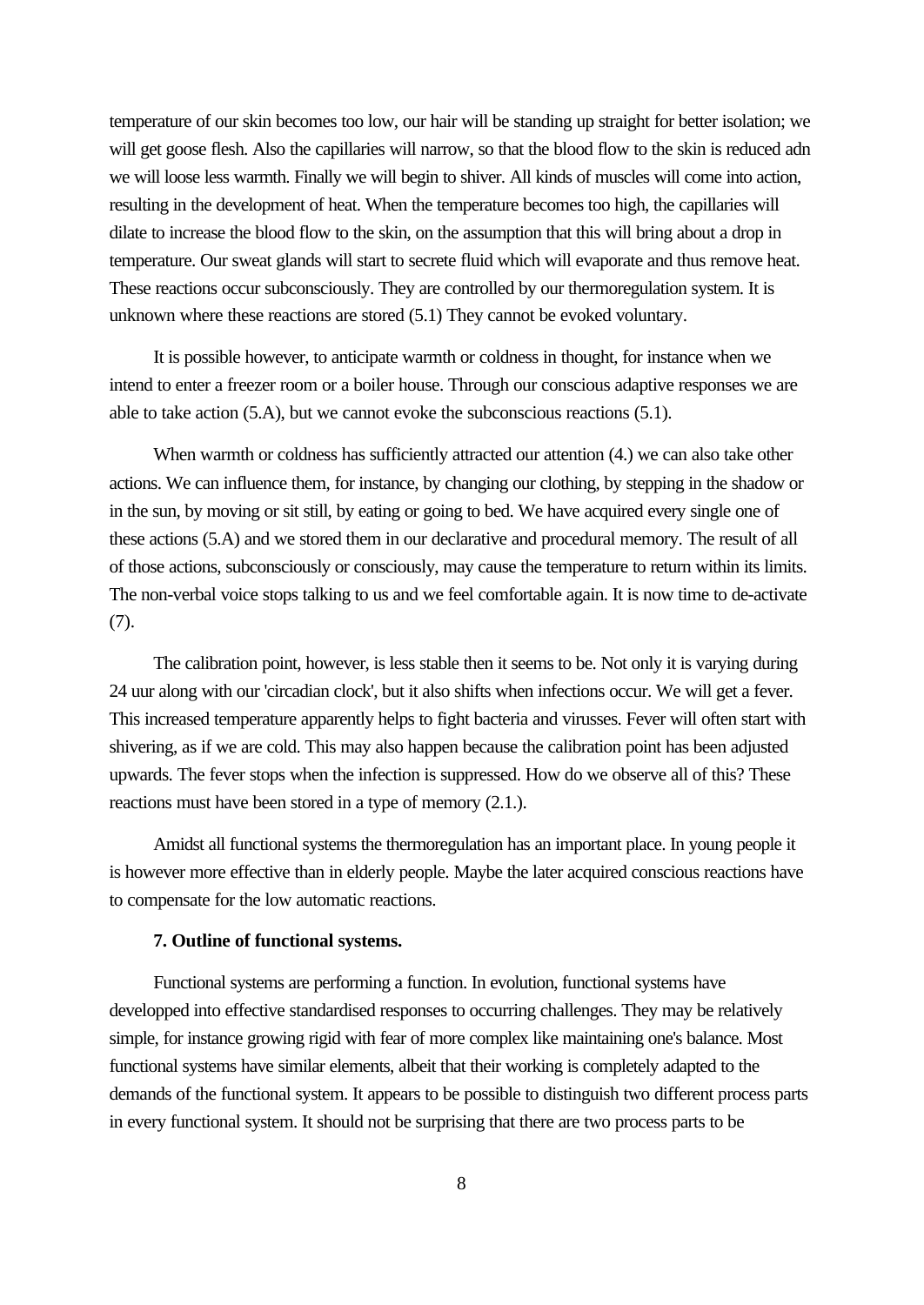temperature of our skin becomes too low, our hair will be standing up straight for better isolation; we will get goose flesh. Also the capillaries will narrow, so that the blood flow to the skin is reduced adn we will loose less warmth. Finally we will begin to shiver. All kinds of muscles will come into action, resulting in the development of heat. When the temperature becomes too high, the capillaries will dilate to increase the blood flow to the skin, on the assumption that this will bring about a drop in temperature. Our sweat glands will start to secrete fluid which will evaporate and thus remove heat. These reactions occur subconsciously. They are controlled by our thermoregulation system. It is unknown where these reactions are stored (5.1) They cannot be evoked voluntary.

It is possible however, to anticipate warmth or coldness in thought, for instance when we intend to enter a freezer room or a boiler house. Through our conscious adaptive responses we are able to take action (5.A), but we cannot evoke the subconscious reactions (5.1).

When warmth or coldness has sufficiently attracted our attention  $(4)$  we can also take other actions. We can influence them, for instance, by changing our clothing, by stepping in the shadow or in the sun, by moving or sit still, by eating or going to bed. We have acquired every single one of these actions (5.A) and we stored them in our declarative and procedural memory. The result of all of those actions, subconsciously or consciously, may cause the temperature to return within its limits. The non-verbal voice stops talking to us and we feel comfortable again. It is now time to de-activate (7).

The calibration point, however, is less stable then it seems to be. Not only it is varying during 24 uur along with our 'circadian clock', but it also shifts when infections occur. We will get a fever. This increased temperature apparently helps to fight bacteria and virusses. Fever will often start with shivering, as if we are cold. This may also happen because the calibration point has been adjusted upwards. The fever stops when the infection is suppressed. How do we observe all of this? These reactions must have been stored in a type of memory (2.1.).

Amidst all functional systems the thermoregulation has an important place. In young people it is however more effective than in elderly people. Maybe the later acquired conscious reactions have to compensate for the low automatic reactions.

## **7. Outline of functional systems.**

Functional systems are performing a function. In evolution, functional systems have developped into effective standardised responses to occurring challenges. They may be relatively simple, for instance growing rigid with fear of more complex like maintaining one's balance. Most functional systems have similar elements, albeit that their working is completely adapted to the demands of the functional system. It appears to be possible to distinguish two different process parts in every functional system. It should not be surprising that there are two process parts to be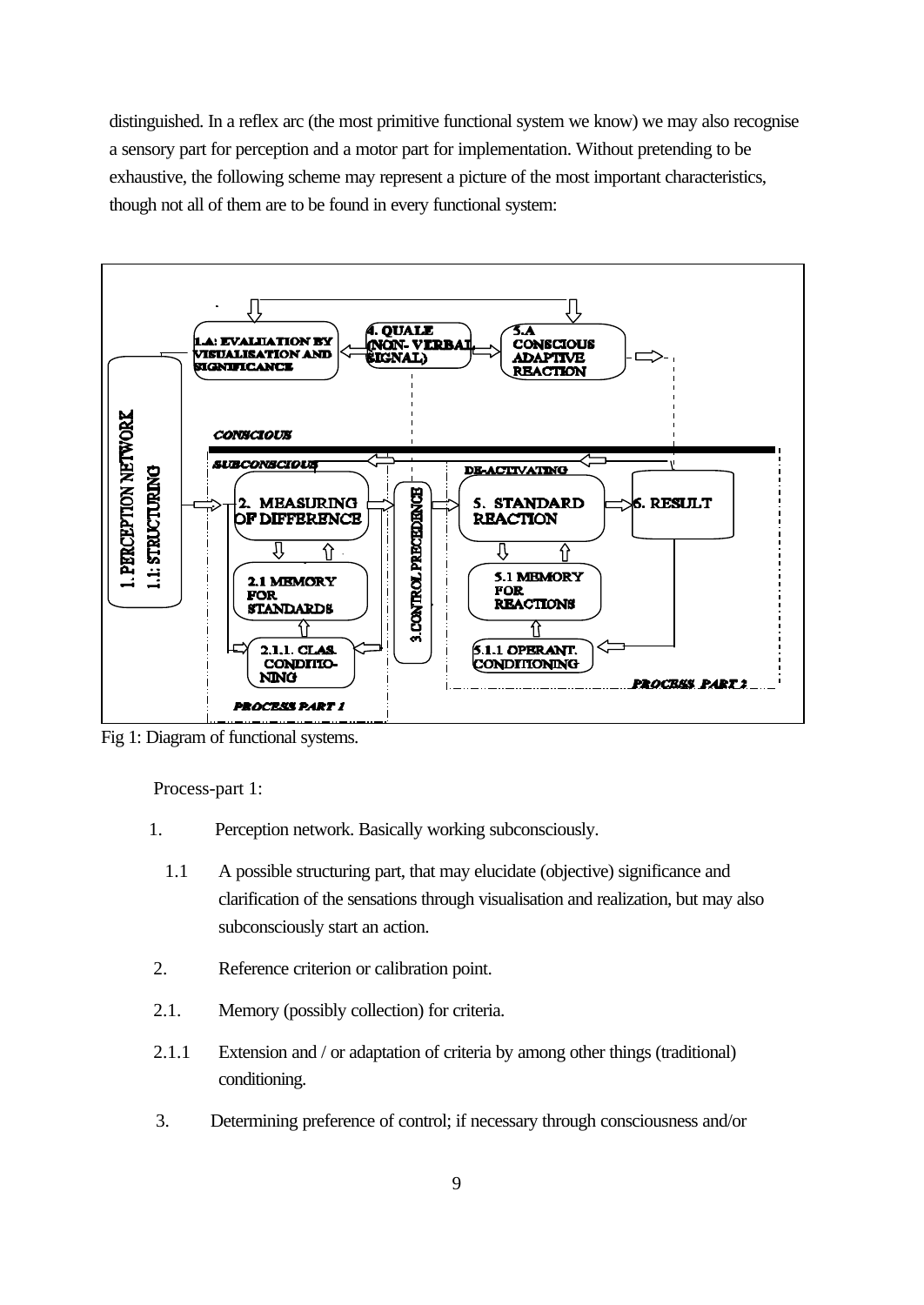distinguished. In a reflex arc (the most primitive functional system we know) we may also recognise a sensory part for perception and a motor part for implementation. Without pretending to be exhaustive, the following scheme may represent a picture of the most important characteristics, though not all of them are to be found in every functional system:



Fig 1: Diagram of functional systems.

Process-part 1:

- 1. Perception network. Basically working subconsciously.
	- 1.1 A possible structuring part, that may elucidate (objective) significance and clarification of the sensations through visualisation and realization, but may also subconsciously start an action.
- 2. Reference criterion or calibration point.
- 2.1. Memory (possibly collection) for criteria.
- 2.1.1 Extension and / or adaptation of criteria by among other things (traditional) conditioning.
- 3. Determining preference of control; if necessary through consciousness and/or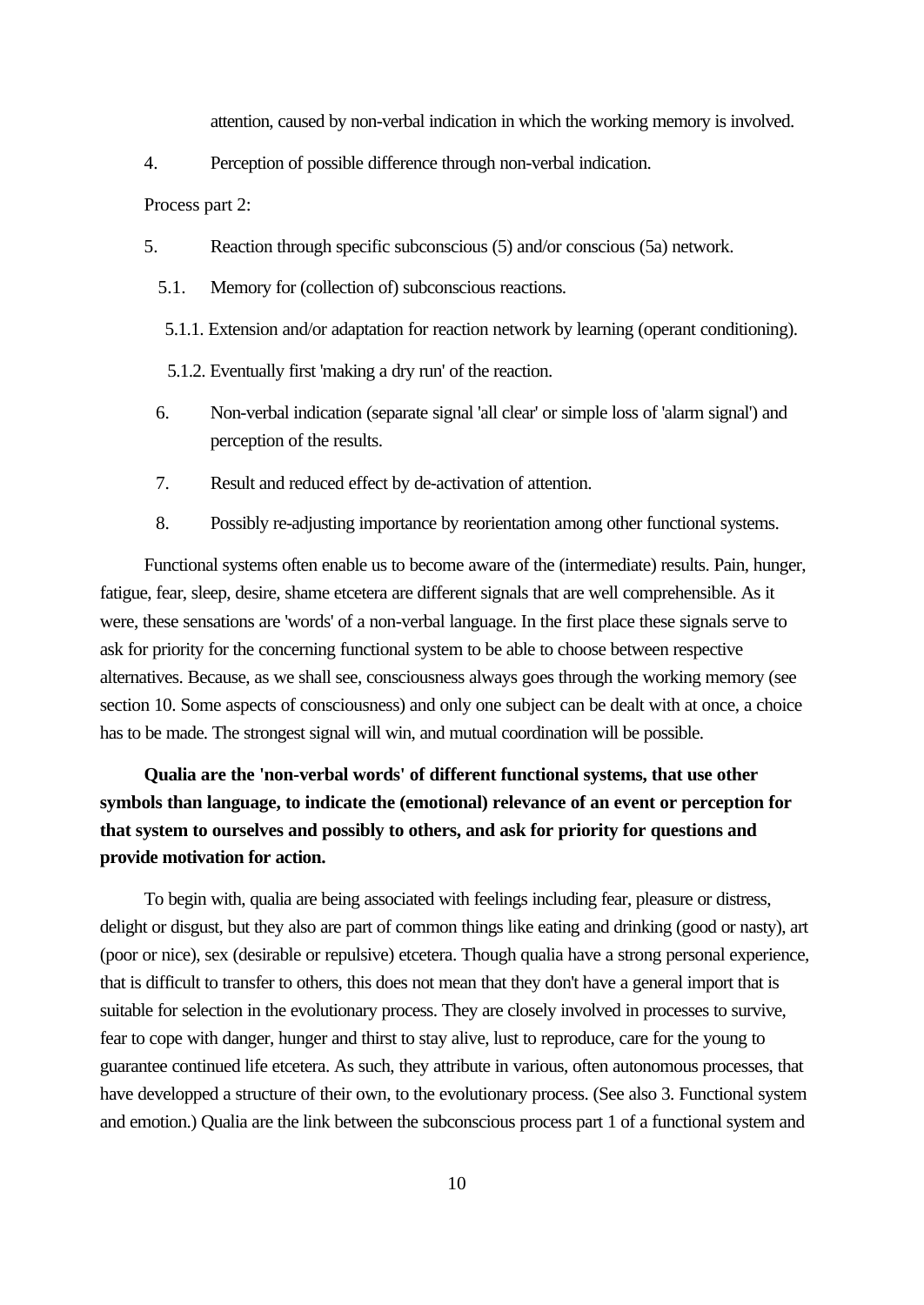attention, caused by non-verbal indication in which the working memory is involved.

4. Perception of possible difference through non-verbal indication.

Process part 2:

5. Reaction through specific subconscious (5) and/or conscious (5a) network.

- 5.1. Memory for (collection of) subconscious reactions.
- 5.1.1. Extension and/or adaptation for reaction network by learning (operant conditioning).
- 5.1.2. Eventually first 'making a dry run' of the reaction.
- 6. Non-verbal indication (separate signal 'all clear' or simple loss of 'alarm signal') and perception of the results.
- 7. Result and reduced effect by de-activation of attention.
- 8. Possibly re-adjusting importance by reorientation among other functional systems.

Functional systems often enable us to become aware of the (intermediate) results. Pain, hunger, fatigue, fear, sleep, desire, shame etcetera are different signals that are well comprehensible. As it were, these sensations are 'words' of a non-verbal language. In the first place these signals serve to ask for priority for the concerning functional system to be able to choose between respective alternatives. Because, as we shall see, consciousness always goes through the working memory (see section 10. Some aspects of consciousness) and only one subject can be dealt with at once, a choice has to be made. The strongest signal will win, and mutual coordination will be possible.

# **Qualia are the 'non-verbal words' of different functional systems, that use other symbols than language, to indicate the (emotional) relevance of an event or perception for that system to ourselves and possibly to others, and ask for priority for questions and provide motivation for action.**

To begin with, qualia are being associated with feelings including fear, pleasure or distress, delight or disgust, but they also are part of common things like eating and drinking (good or nasty), art (poor or nice), sex (desirable or repulsive) etcetera. Though qualia have a strong personal experience, that is difficult to transfer to others, this does not mean that they don't have a general import that is suitable for selection in the evolutionary process. They are closely involved in processes to survive, fear to cope with danger, hunger and thirst to stay alive, lust to reproduce, care for the young to guarantee continued life etcetera. As such, they attribute in various, often autonomous processes, that have developped a structure of their own, to the evolutionary process. (See also 3. Functional system and emotion.) Qualia are the link between the subconscious process part 1 of a functional system and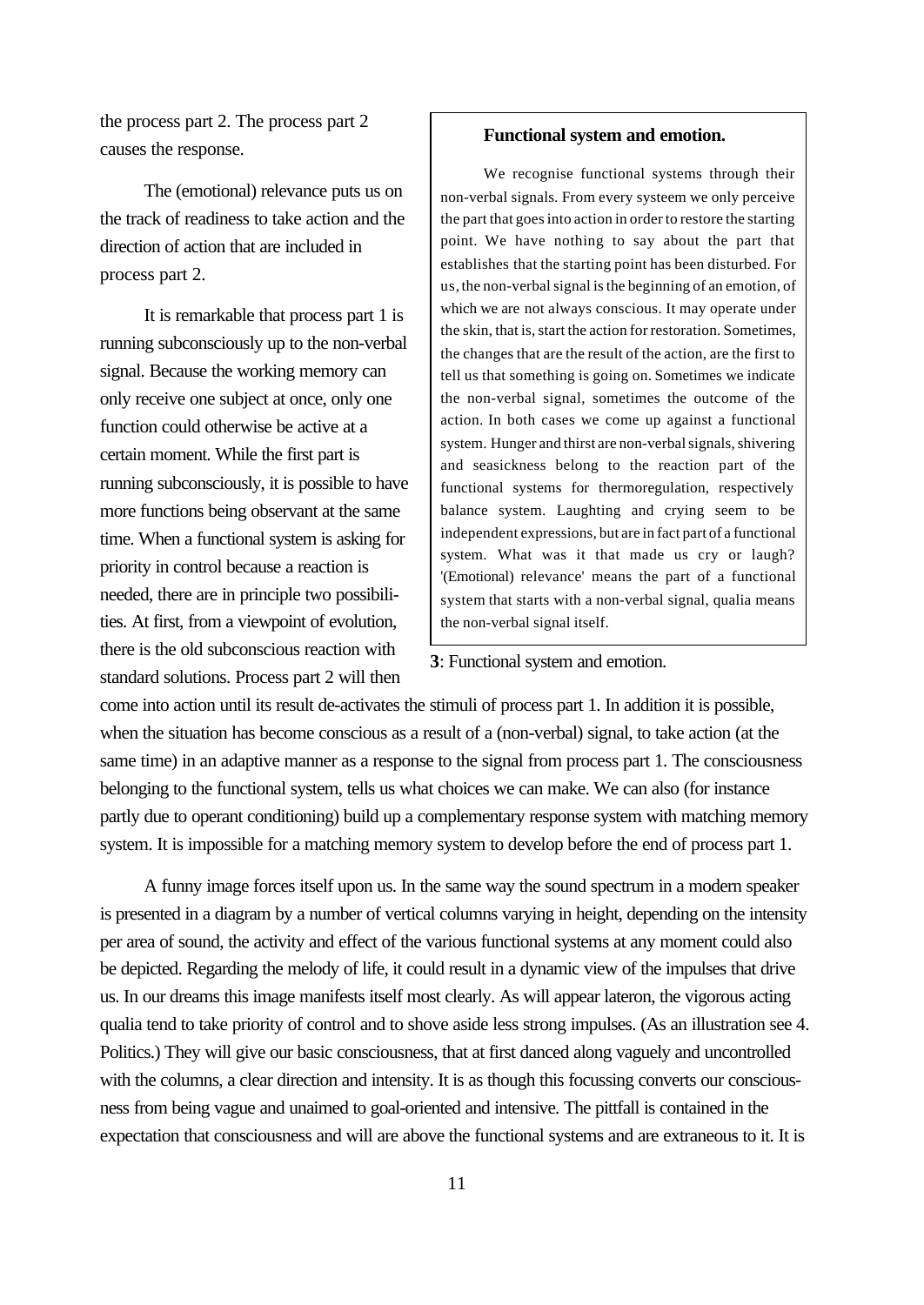the process part 2. The process part 2 causes the response.

The (emotional) relevance puts us on the track of readiness to take action and the direction of action that are included in process part 2.

It is remarkable that process part 1 is running subconsciously up to the non-verbal signal. Because the working memory can only receive one subject at once, only one function could otherwise be active at a certain moment. While the first part is running subconsciously, it is possible to have more functions being observant at the same time. When a functional system is asking for priority in control because a reaction is needed, there are in principle two possibilities. At first, from a viewpoint of evolution, there is the old subconscious reaction with standard solutions. Process part 2 will then

# **Functional system and emotion.**

We recognise functional systems through their non-verbal signals. From every systeem we only perceive the part that goes into action in order to restore the starting point. We have nothing to say about the part that establishes that the starting point has been disturbed. For us, the non-verbal signal is the beginning of an emotion, of which we are not always conscious. It may operate under the skin, that is, start the action for restoration. Sometimes, the changes that are the result of the action, are the first to tell us that something is going on. Sometimes we indicate the non-verbal signal, sometimes the outcome of the action. In both cases we come up against a functional system. Hunger and thirst are non-verbal signals, shivering and seasickness belong to the reaction part of the functional systems for thermoregulation, respectively balance system. Laughting and crying seem to be independent expressions, but are in fact part of a functional system. What was it that made us cry or laugh? '(Emotional) relevance' means the part of a functional system that starts with a non-verbal signal, qualia means the non-verbal signal itself.

# **3**: Functional system and emotion.

come into action until its result de-activates the stimuli of process part 1. In addition it is possible, when the situation has become conscious as a result of a (non-verbal) signal, to take action (at the same time) in an adaptive manner as a response to the signal from process part 1. The consciousness belonging to the functional system, tells us what choices we can make. We can also (for instance partly due to operant conditioning) build up a complementary response system with matching memory system. It is impossible for a matching memory system to develop before the end of process part 1.

A funny image forces itself upon us. In the same way the sound spectrum in a modern speaker is presented in a diagram by a number of vertical columns varying in height, depending on the intensity per area of sound, the activity and effect of the various functional systems at any moment could also be depicted. Regarding the melody of life, it could result in a dynamic view of the impulses that drive us. In our dreams this image manifests itself most clearly. As will appear lateron, the vigorous acting qualia tend to take priority of control and to shove aside less strong impulses. (As an illustration see 4. Politics.) They will give our basic consciousness, that at first danced along vaguely and uncontrolled with the columns, a clear direction and intensity. It is as though this focussing converts our consciousness from being vague and unaimed to goal-oriented and intensive. The pittfall is contained in the expectation that consciousness and will are above the functional systems and are extraneous to it. It is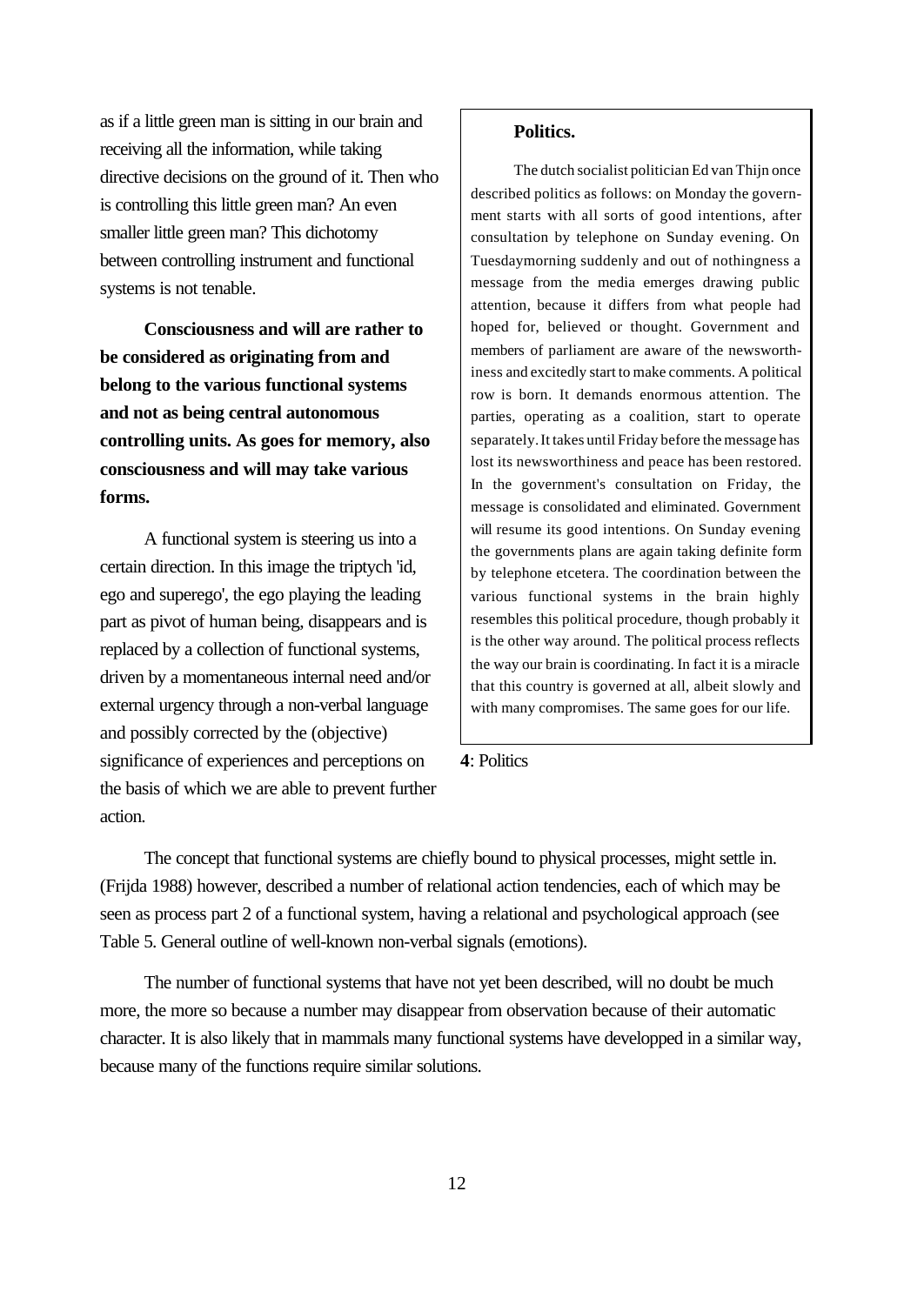as if a little green man is sitting in our brain and receiving all the information, while taking directive decisions on the ground of it. Then who is controlling this little green man? An even smaller little green man? This dichotomy between controlling instrument and functional systems is not tenable.

**Consciousness and will are rather to be considered as originating from and belong to the various functional systems and not as being central autonomous controlling units. As goes for memory, also consciousness and will may take various forms.**

A functional system is steering us into a certain direction. In this image the triptych 'id, ego and superego', the ego playing the leading part as pivot of human being, disappears and is replaced by a collection of functional systems, driven by a momentaneous internal need and/or external urgency through a non-verbal language and possibly corrected by the (objective) significance of experiences and perceptions on the basis of which we are able to prevent further action.

# **Politics.**

The dutch socialist politician Ed van Thijn once described politics as follows: on Monday the government starts with all sorts of good intentions, after consultation by telephone on Sunday evening. On Tuesdaymorning suddenly and out of nothingness a message from the media emerges drawing public attention, because it differs from what people had hoped for, believed or thought. Government and members of parliament are aware of the newsworthiness and excitedly start to make comments. A political row is born. It demands enormous attention. The parties, operating as a coalition, start to operate separately. It takes until Friday before the message has lost its newsworthiness and peace has been restored. In the government's consultation on Friday, the message is consolidated and eliminated. Government will resume its good intentions. On Sunday evening the governments plans are again taking definite form by telephone etcetera. The coordination between the various functional systems in the brain highly resembles this political procedure, though probably it is the other way around. The political process reflects the way our brain is coordinating. In fact it is a miracle that this country is governed at all, albeit slowly and with many compromises. The same goes for our life.

**4**: Politics

The concept that functional systems are chiefly bound to physical processes, might settle in. (Frijda 1988) however, described a number of relational action tendencies, each of which may be seen as process part 2 of a functional system, having a relational and psychological approach (see Table 5. General outline of well-known non-verbal signals (emotions).

The number of functional systems that have not yet been described, will no doubt be much more, the more so because a number may disappear from observation because of their automatic character. It is also likely that in mammals many functional systems have developped in a similar way, because many of the functions require similar solutions.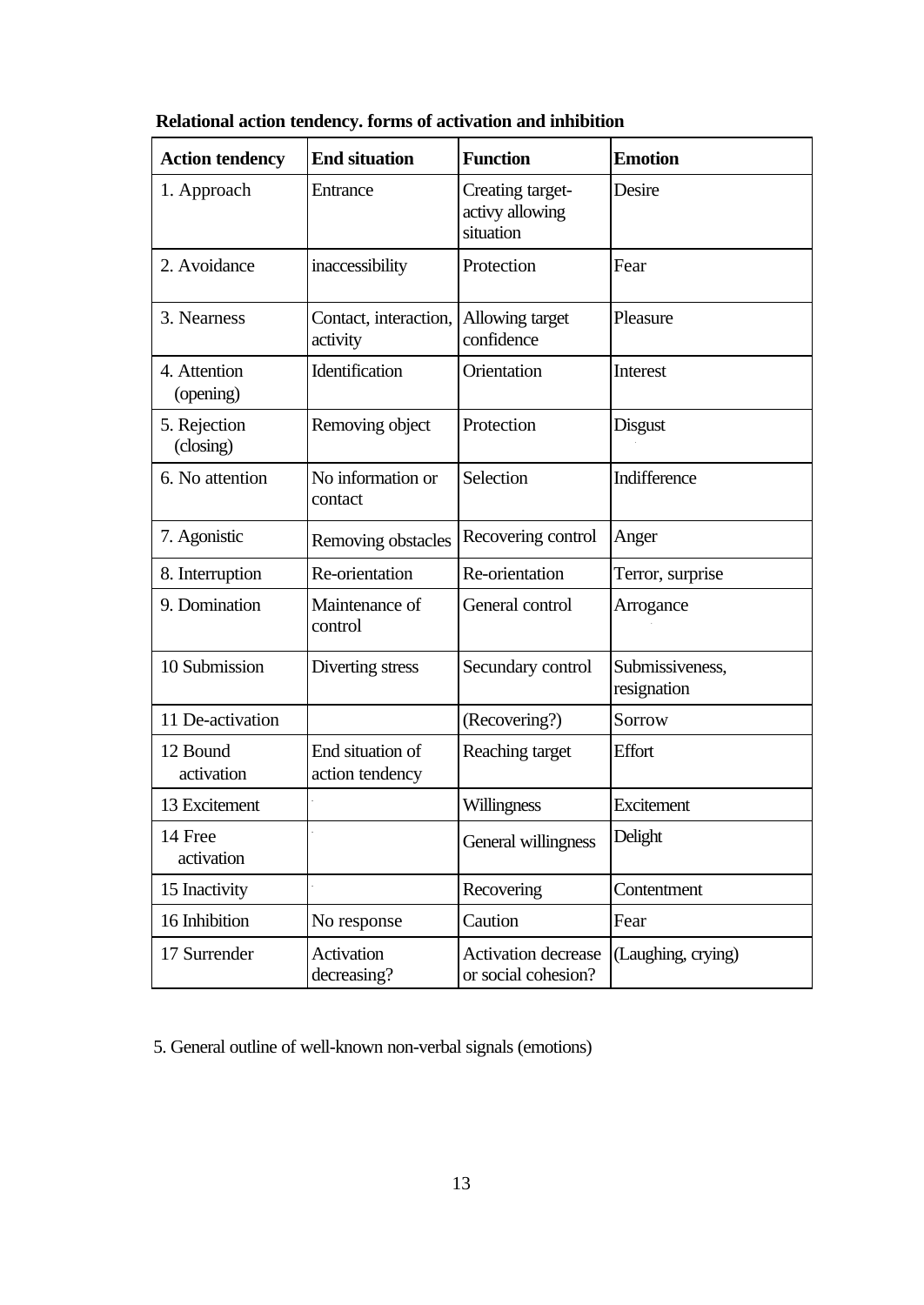| <b>Action tendency</b>    | <b>End situation</b>                | <b>Function</b>                                  | <b>Emotion</b>                 |
|---------------------------|-------------------------------------|--------------------------------------------------|--------------------------------|
| 1. Approach               | Entrance                            | Creating target-<br>activy allowing<br>situation | Desire                         |
| 2. Avoidance              | inaccessibility                     | Protection                                       | Fear                           |
| 3. Nearness               | Contact, interaction,<br>activity   | Allowing target<br>confidence                    | Pleasure                       |
| 4. Attention<br>(opening) | Identification                      | Orientation                                      | Interest                       |
| 5. Rejection<br>(closing) | Removing object                     | Protection                                       | <b>Disgust</b>                 |
| 6. No attention           | No information or<br>contact        | Selection                                        | Indifference                   |
| 7. Agonistic              | Removing obstacles                  | Recovering control                               | Anger                          |
| 8. Interruption           | Re-orientation                      | Re-orientation                                   | Terror, surprise               |
| 9. Domination             | Maintenance of<br>control           | General control                                  | Arrogance                      |
| 10 Submission             | Diverting stress                    | Secundary control                                | Submissiveness,<br>resignation |
| 11 De-activation          |                                     | (Recovering?)                                    | Sorrow                         |
| 12 Bound<br>activation    | End situation of<br>action tendency | Reaching target                                  | Effort                         |
| 13 Excitement             |                                     | Willingness                                      | Excitement                     |
| 14 Free<br>activation     |                                     | General willingness                              | Delight                        |
| 15 Inactivity             |                                     | Recovering                                       | Contentment                    |
| 16 Inhibition             | No response                         | Caution                                          | Fear                           |
| 17 Surrender              | Activation<br>decreasing?           | Activation decrease<br>or social cohesion?       | (Laughing, crying)             |

**Relational action tendency. forms of activation and inhibition**

5. General outline of well-known non-verbal signals (emotions)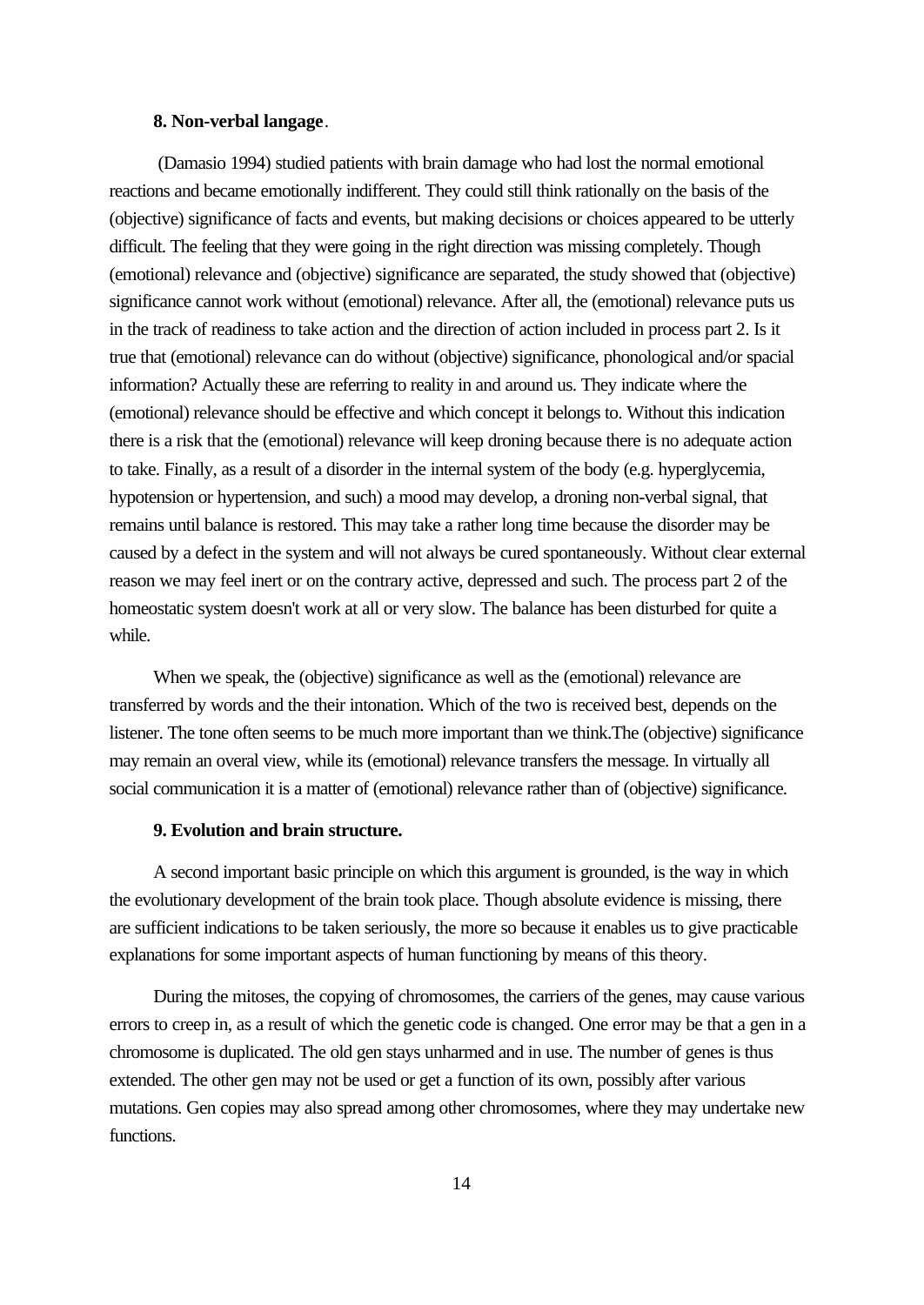#### **8. Non-verbal langage**.

 (Damasio 1994) studied patients with brain damage who had lost the normal emotional reactions and became emotionally indifferent. They could still think rationally on the basis of the (objective) significance of facts and events, but making decisions or choices appeared to be utterly difficult. The feeling that they were going in the right direction was missing completely. Though (emotional) relevance and (objective) significance are separated, the study showed that (objective) significance cannot work without (emotional) relevance. After all, the (emotional) relevance puts us in the track of readiness to take action and the direction of action included in process part 2. Is it true that (emotional) relevance can do without (objective) significance, phonological and/or spacial information? Actually these are referring to reality in and around us. They indicate where the (emotional) relevance should be effective and which concept it belongs to. Without this indication there is a risk that the (emotional) relevance will keep droning because there is no adequate action to take. Finally, as a result of a disorder in the internal system of the body (e.g. hyperglycemia, hypotension or hypertension, and such) a mood may develop, a droning non-verbal signal, that remains until balance is restored. This may take a rather long time because the disorder may be caused by a defect in the system and will not always be cured spontaneously. Without clear external reason we may feel inert or on the contrary active, depressed and such. The process part 2 of the homeostatic system doesn't work at all or very slow. The balance has been disturbed for quite a while.

When we speak, the (objective) significance as well as the (emotional) relevance are transferred by words and the their intonation. Which of the two is received best, depends on the listener. The tone often seems to be much more important than we think.The (objective) significance may remain an overal view, while its (emotional) relevance transfers the message. In virtually all social communication it is a matter of (emotional) relevance rather than of (objective) significance.

#### **9. Evolution and brain structure.**

A second important basic principle on which this argument is grounded, is the way in which the evolutionary development of the brain took place. Though absolute evidence is missing, there are sufficient indications to be taken seriously, the more so because it enables us to give practicable explanations for some important aspects of human functioning by means of this theory.

During the mitoses, the copying of chromosomes, the carriers of the genes, may cause various errors to creep in, as a result of which the genetic code is changed. One error may be that a gen in a chromosome is duplicated. The old gen stays unharmed and in use. The number of genes is thus extended. The other gen may not be used or get a function of its own, possibly after various mutations. Gen copies may also spread among other chromosomes, where they may undertake new functions.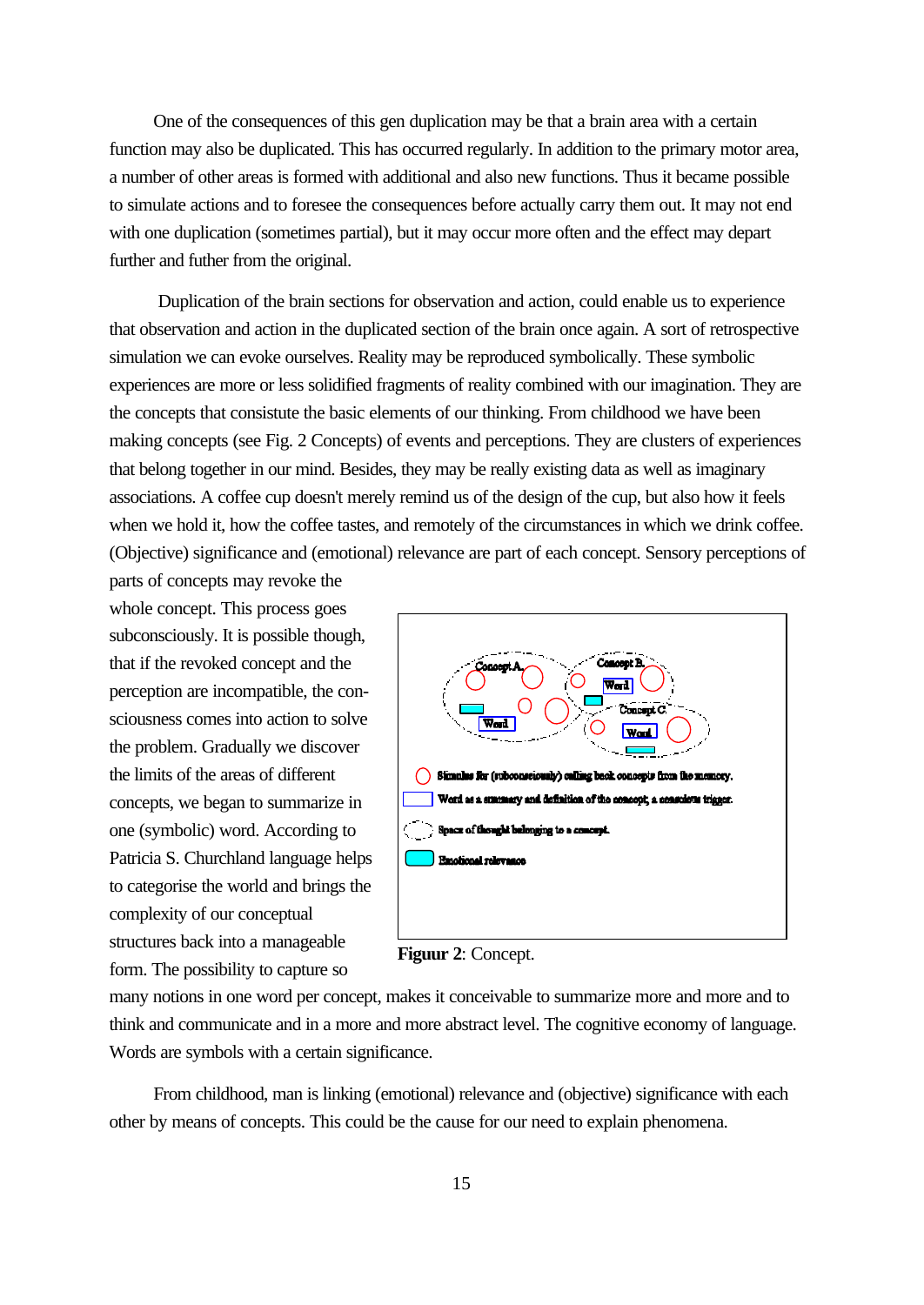One of the consequences of this gen duplication may be that a brain area with a certain function may also be duplicated. This has occurred regularly. In addition to the primary motor area, a number of other areas is formed with additional and also new functions. Thus it became possible to simulate actions and to foresee the consequences before actually carry them out. It may not end with one duplication (sometimes partial), but it may occur more often and the effect may depart further and futher from the original.

 Duplication of the brain sections for observation and action, could enable us to experience that observation and action in the duplicated section of the brain once again. A sort of retrospective simulation we can evoke ourselves. Reality may be reproduced symbolically. These symbolic experiences are more or less solidified fragments of reality combined with our imagination. They are the concepts that consistute the basic elements of our thinking. From childhood we have been making concepts (see Fig. 2 Concepts) of events and perceptions. They are clusters of experiences that belong together in our mind. Besides, they may be really existing data as well as imaginary associations. A coffee cup doesn't merely remind us of the design of the cup, but also how it feels when we hold it, how the coffee tastes, and remotely of the circumstances in which we drink coffee. (Objective) significance and (emotional) relevance are part of each concept. Sensory perceptions of

parts of concepts may revoke the whole concept. This process goes subconsciously. It is possible though, that if the revoked concept and the perception are incompatible, the consciousness comes into action to solve the problem. Gradually we discover the limits of the areas of different concepts, we began to summarize in one (symbolic) word. According to Patricia S. Churchland language helps to categorise the world and brings the complexity of our conceptual structures back into a manageable form. The possibility to capture so



**Figuur 2**: Concept.

many notions in one word per concept, makes it conceivable to summarize more and more and to think and communicate and in a more and more abstract level. The cognitive economy of language. Words are symbols with a certain significance.

From childhood, man is linking (emotional) relevance and (objective) significance with each other by means of concepts. This could be the cause for our need to explain phenomena.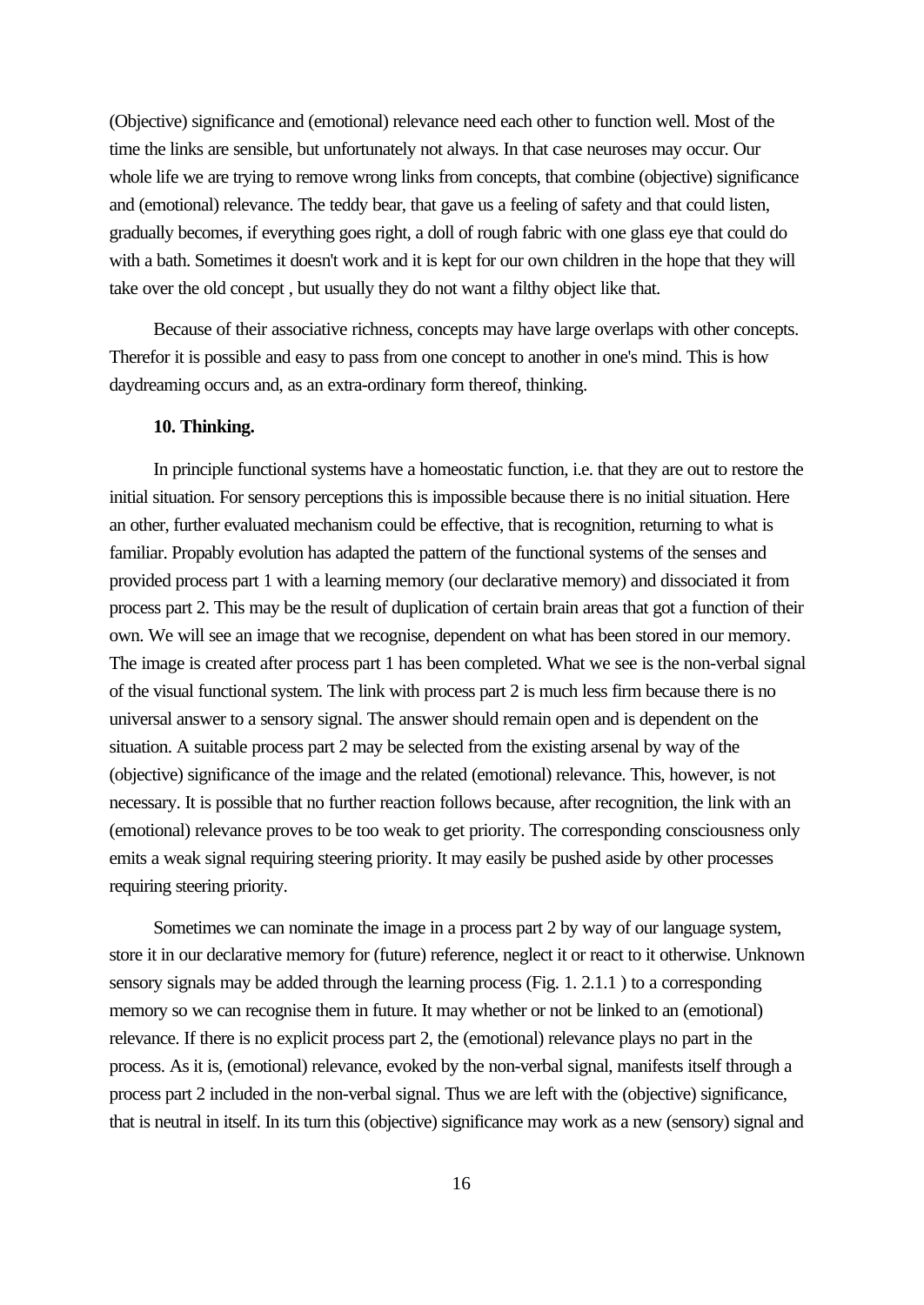(Objective) significance and (emotional) relevance need each other to function well. Most of the time the links are sensible, but unfortunately not always. In that case neuroses may occur. Our whole life we are trying to remove wrong links from concepts, that combine (objective) significance and (emotional) relevance. The teddy bear, that gave us a feeling of safety and that could listen, gradually becomes, if everything goes right, a doll of rough fabric with one glass eye that could do with a bath. Sometimes it doesn't work and it is kept for our own children in the hope that they will take over the old concept , but usually they do not want a filthy object like that.

Because of their associative richness, concepts may have large overlaps with other concepts. Therefor it is possible and easy to pass from one concept to another in one's mind. This is how daydreaming occurs and, as an extra-ordinary form thereof, thinking.

#### **10. Thinking.**

In principle functional systems have a homeostatic function, i.e. that they are out to restore the initial situation. For sensory perceptions this is impossible because there is no initial situation. Here an other, further evaluated mechanism could be effective, that is recognition, returning to what is familiar. Propably evolution has adapted the pattern of the functional systems of the senses and provided process part 1 with a learning memory (our declarative memory) and dissociated it from process part 2. This may be the result of duplication of certain brain areas that got a function of their own. We will see an image that we recognise, dependent on what has been stored in our memory. The image is created after process part 1 has been completed. What we see is the non-verbal signal of the visual functional system. The link with process part 2 is much less firm because there is no universal answer to a sensory signal. The answer should remain open and is dependent on the situation. A suitable process part 2 may be selected from the existing arsenal by way of the (objective) significance of the image and the related (emotional) relevance. This, however, is not necessary. It is possible that no further reaction follows because, after recognition, the link with an (emotional) relevance proves to be too weak to get priority. The corresponding consciousness only emits a weak signal requiring steering priority. It may easily be pushed aside by other processes requiring steering priority.

Sometimes we can nominate the image in a process part 2 by way of our language system, store it in our declarative memory for (future) reference, neglect it or react to it otherwise. Unknown sensory signals may be added through the learning process (Fig. 1. 2.1.1 ) to a corresponding memory so we can recognise them in future. It may whether or not be linked to an (emotional) relevance. If there is no explicit process part 2, the (emotional) relevance plays no part in the process. As it is, (emotional) relevance, evoked by the non-verbal signal, manifests itself through a process part 2 included in the non-verbal signal. Thus we are left with the (objective) significance, that is neutral in itself. In its turn this (objective) significance may work as a new (sensory) signal and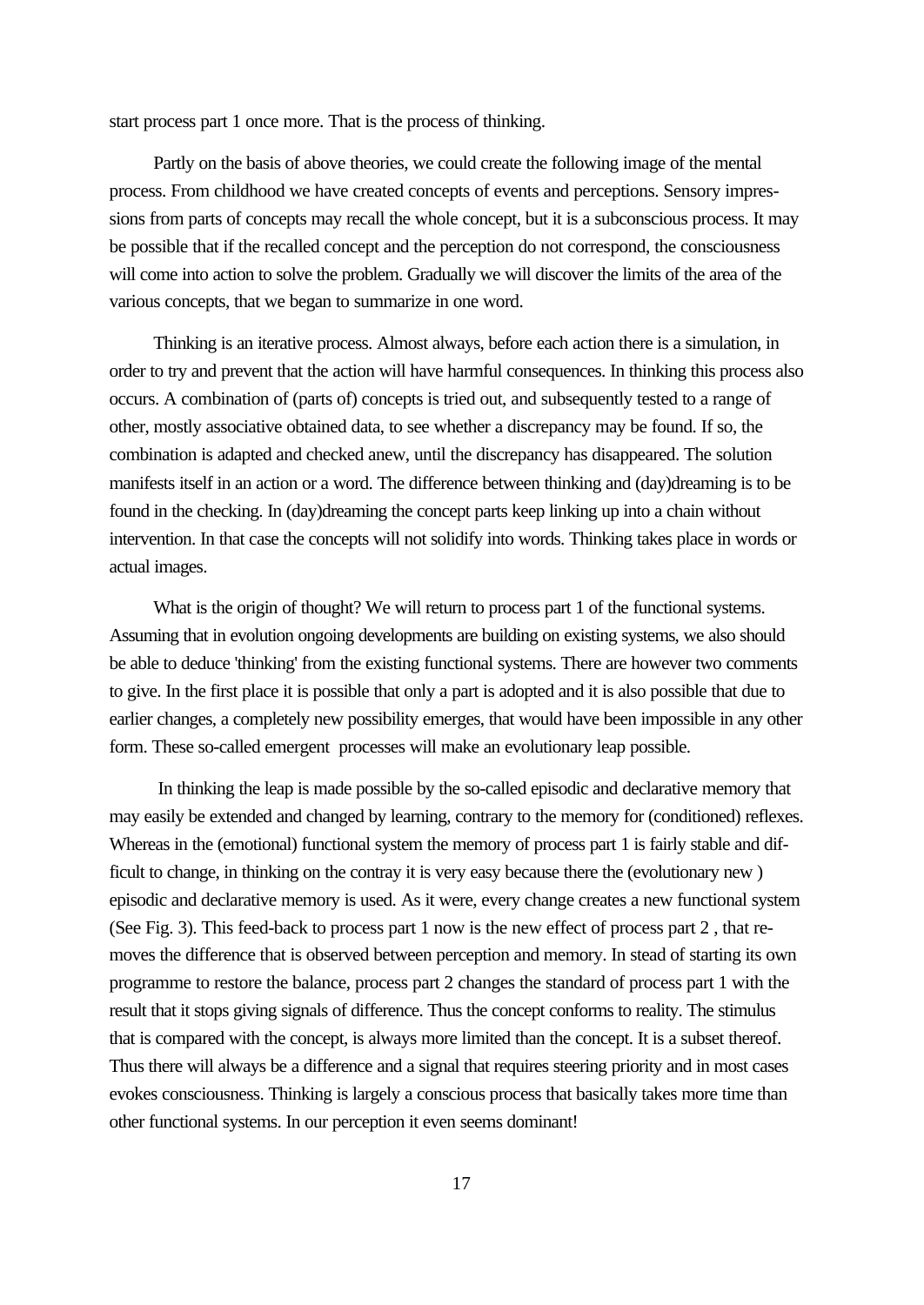start process part 1 once more. That is the process of thinking.

Partly on the basis of above theories, we could create the following image of the mental process. From childhood we have created concepts of events and perceptions. Sensory impressions from parts of concepts may recall the whole concept, but it is a subconscious process. It may be possible that if the recalled concept and the perception do not correspond, the consciousness will come into action to solve the problem. Gradually we will discover the limits of the area of the various concepts, that we began to summarize in one word.

Thinking is an iterative process. Almost always, before each action there is a simulation, in order to try and prevent that the action will have harmful consequences. In thinking this process also occurs. A combination of (parts of) concepts is tried out, and subsequently tested to a range of other, mostly associative obtained data, to see whether a discrepancy may be found. If so, the combination is adapted and checked anew, until the discrepancy has disappeared. The solution manifests itself in an action or a word. The difference between thinking and (day)dreaming is to be found in the checking. In (day)dreaming the concept parts keep linking up into a chain without intervention. In that case the concepts will not solidify into words. Thinking takes place in words or actual images.

What is the origin of thought? We will return to process part 1 of the functional systems. Assuming that in evolution ongoing developments are building on existing systems, we also should be able to deduce 'thinking' from the existing functional systems. There are however two comments to give. In the first place it is possible that only a part is adopted and it is also possible that due to earlier changes, a completely new possibility emerges, that would have been impossible in any other form. These so-called emergent processes will make an evolutionary leap possible.

 In thinking the leap is made possible by the so-called episodic and declarative memory that may easily be extended and changed by learning, contrary to the memory for (conditioned) reflexes. Whereas in the (emotional) functional system the memory of process part 1 is fairly stable and difficult to change, in thinking on the contray it is very easy because there the (evolutionary new ) episodic and declarative memory is used. As it were, every change creates a new functional system (See Fig. 3). This feed-back to process part 1 now is the new effect of process part 2 , that removes the difference that is observed between perception and memory. In stead of starting its own programme to restore the balance, process part 2 changes the standard of process part 1 with the result that it stops giving signals of difference. Thus the concept conforms to reality. The stimulus that is compared with the concept, is always more limited than the concept. It is a subset thereof. Thus there will always be a difference and a signal that requires steering priority and in most cases evokes consciousness. Thinking is largely a conscious process that basically takes more time than other functional systems. In our perception it even seems dominant!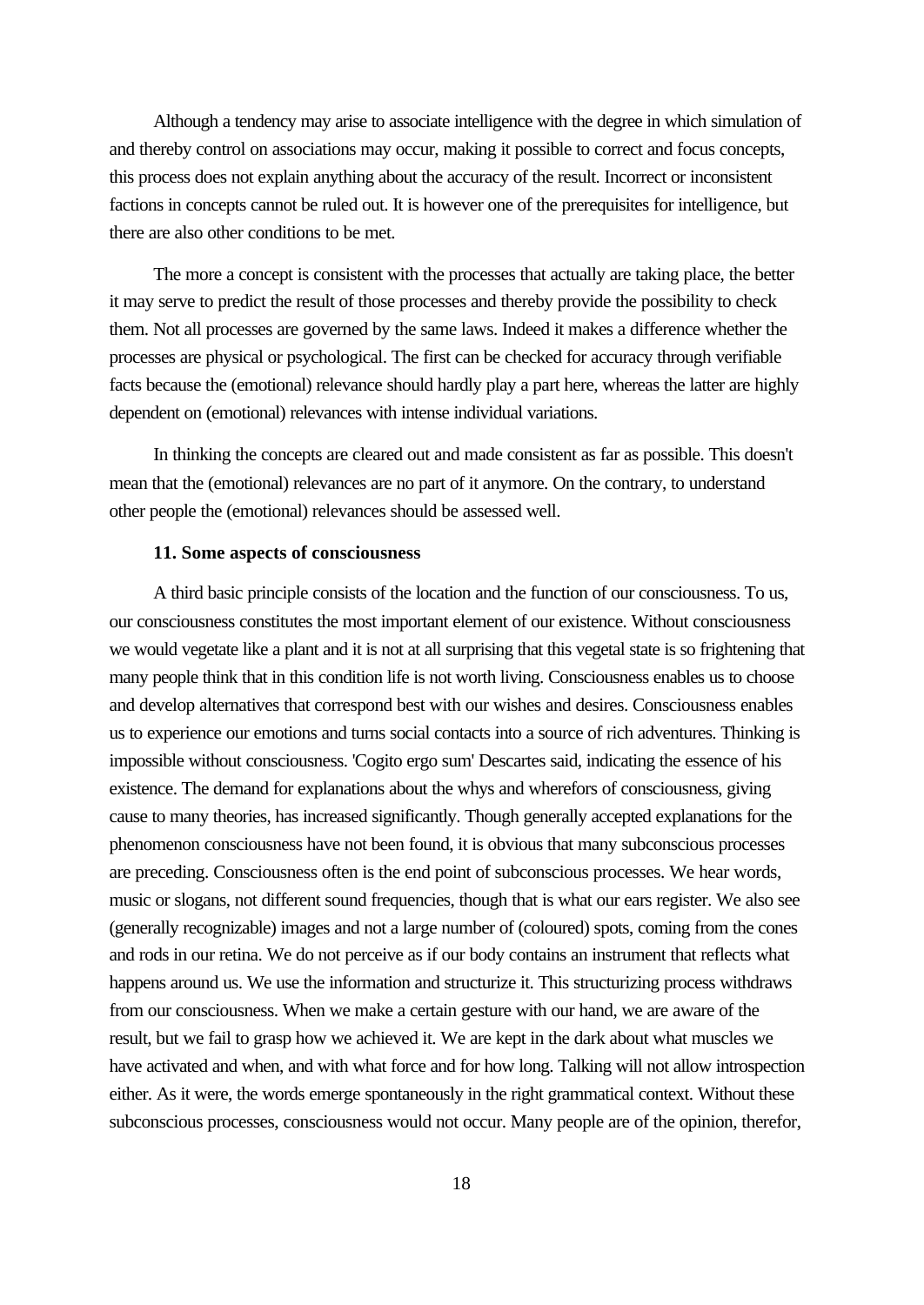Although a tendency may arise to associate intelligence with the degree in which simulation of and thereby control on associations may occur, making it possible to correct and focus concepts, this process does not explain anything about the accuracy of the result. Incorrect or inconsistent factions in concepts cannot be ruled out. It is however one of the prerequisites for intelligence, but there are also other conditions to be met.

The more a concept is consistent with the processes that actually are taking place, the better it may serve to predict the result of those processes and thereby provide the possibility to check them. Not all processes are governed by the same laws. Indeed it makes a difference whether the processes are physical or psychological. The first can be checked for accuracy through verifiable facts because the (emotional) relevance should hardly play a part here, whereas the latter are highly dependent on (emotional) relevances with intense individual variations.

In thinking the concepts are cleared out and made consistent as far as possible. This doesn't mean that the (emotional) relevances are no part of it anymore. On the contrary, to understand other people the (emotional) relevances should be assessed well.

#### **11. Some aspects of consciousness**

A third basic principle consists of the location and the function of our consciousness. To us, our consciousness constitutes the most important element of our existence. Without consciousness we would vegetate like a plant and it is not at all surprising that this vegetal state is so frightening that many people think that in this condition life is not worth living. Consciousness enables us to choose and develop alternatives that correspond best with our wishes and desires. Consciousness enables us to experience our emotions and turns social contacts into a source of rich adventures. Thinking is impossible without consciousness. 'Cogito ergo sum' Descartes said, indicating the essence of his existence. The demand for explanations about the whys and wherefors of consciousness, giving cause to many theories, has increased significantly. Though generally accepted explanations for the phenomenon consciousness have not been found, it is obvious that many subconscious processes are preceding. Consciousness often is the end point of subconscious processes. We hear words, music or slogans, not different sound frequencies, though that is what our ears register. We also see (generally recognizable) images and not a large number of (coloured) spots, coming from the cones and rods in our retina. We do not perceive as if our body contains an instrument that reflects what happens around us. We use the information and structurize it. This structurizing process withdraws from our consciousness. When we make a certain gesture with our hand, we are aware of the result, but we fail to grasp how we achieved it. We are kept in the dark about what muscles we have activated and when, and with what force and for how long. Talking will not allow introspection either. As it were, the words emerge spontaneously in the right grammatical context. Without these subconscious processes, consciousness would not occur. Many people are of the opinion, therefor,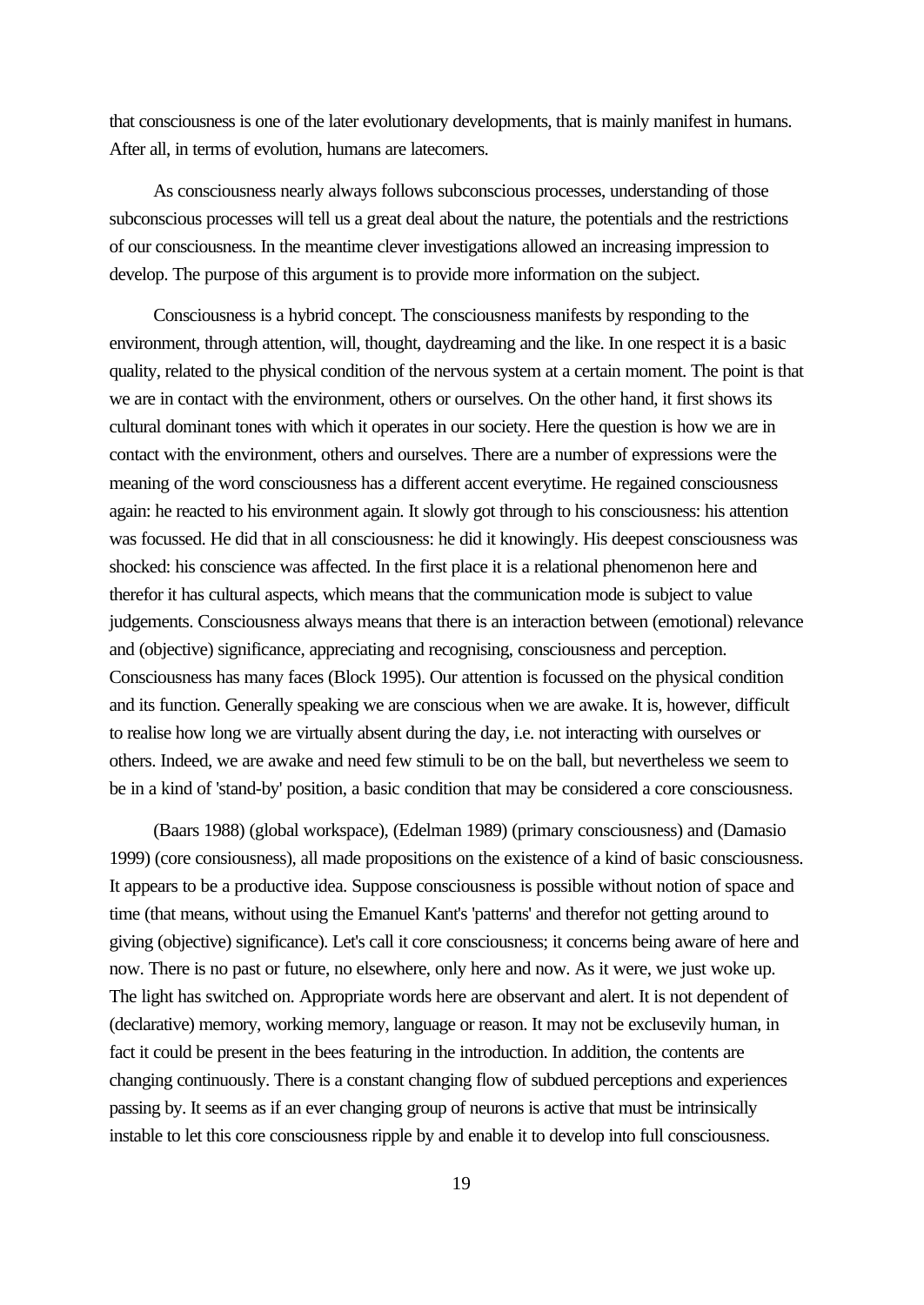that consciousness is one of the later evolutionary developments, that is mainly manifest in humans. After all, in terms of evolution, humans are latecomers.

As consciousness nearly always follows subconscious processes, understanding of those subconscious processes will tell us a great deal about the nature, the potentials and the restrictions of our consciousness. In the meantime clever investigations allowed an increasing impression to develop. The purpose of this argument is to provide more information on the subject.

Consciousness is a hybrid concept. The consciousness manifests by responding to the environment, through attention, will, thought, daydreaming and the like. In one respect it is a basic quality, related to the physical condition of the nervous system at a certain moment. The point is that we are in contact with the environment, others or ourselves. On the other hand, it first shows its cultural dominant tones with which it operates in our society. Here the question is how we are in contact with the environment, others and ourselves. There are a number of expressions were the meaning of the word consciousness has a different accent everytime. He regained consciousness again: he reacted to his environment again. It slowly got through to his consciousness: his attention was focussed. He did that in all consciousness: he did it knowingly. His deepest consciousness was shocked: his conscience was affected. In the first place it is a relational phenomenon here and therefor it has cultural aspects, which means that the communication mode is subject to value judgements. Consciousness always means that there is an interaction between (emotional) relevance and (objective) significance, appreciating and recognising, consciousness and perception. Consciousness has many faces (Block 1995). Our attention is focussed on the physical condition and its function. Generally speaking we are conscious when we are awake. It is, however, difficult to realise how long we are virtually absent during the day, i.e. not interacting with ourselves or others. Indeed, we are awake and need few stimuli to be on the ball, but nevertheless we seem to be in a kind of 'stand-by' position, a basic condition that may be considered a core consciousness.

(Baars 1988) (global workspace), (Edelman 1989) (primary consciousness) and (Damasio 1999) (core consiousness), all made propositions on the existence of a kind of basic consciousness. It appears to be a productive idea. Suppose consciousness is possible without notion of space and time (that means, without using the Emanuel Kant's 'patterns' and therefor not getting around to giving (objective) significance). Let's call it core consciousness; it concerns being aware of here and now. There is no past or future, no elsewhere, only here and now. As it were, we just woke up. The light has switched on. Appropriate words here are observant and alert. It is not dependent of (declarative) memory, working memory, language or reason. It may not be exclusevily human, in fact it could be present in the bees featuring in the introduction. In addition, the contents are changing continuously. There is a constant changing flow of subdued perceptions and experiences passing by. It seems as if an ever changing group of neurons is active that must be intrinsically instable to let this core consciousness ripple by and enable it to develop into full consciousness.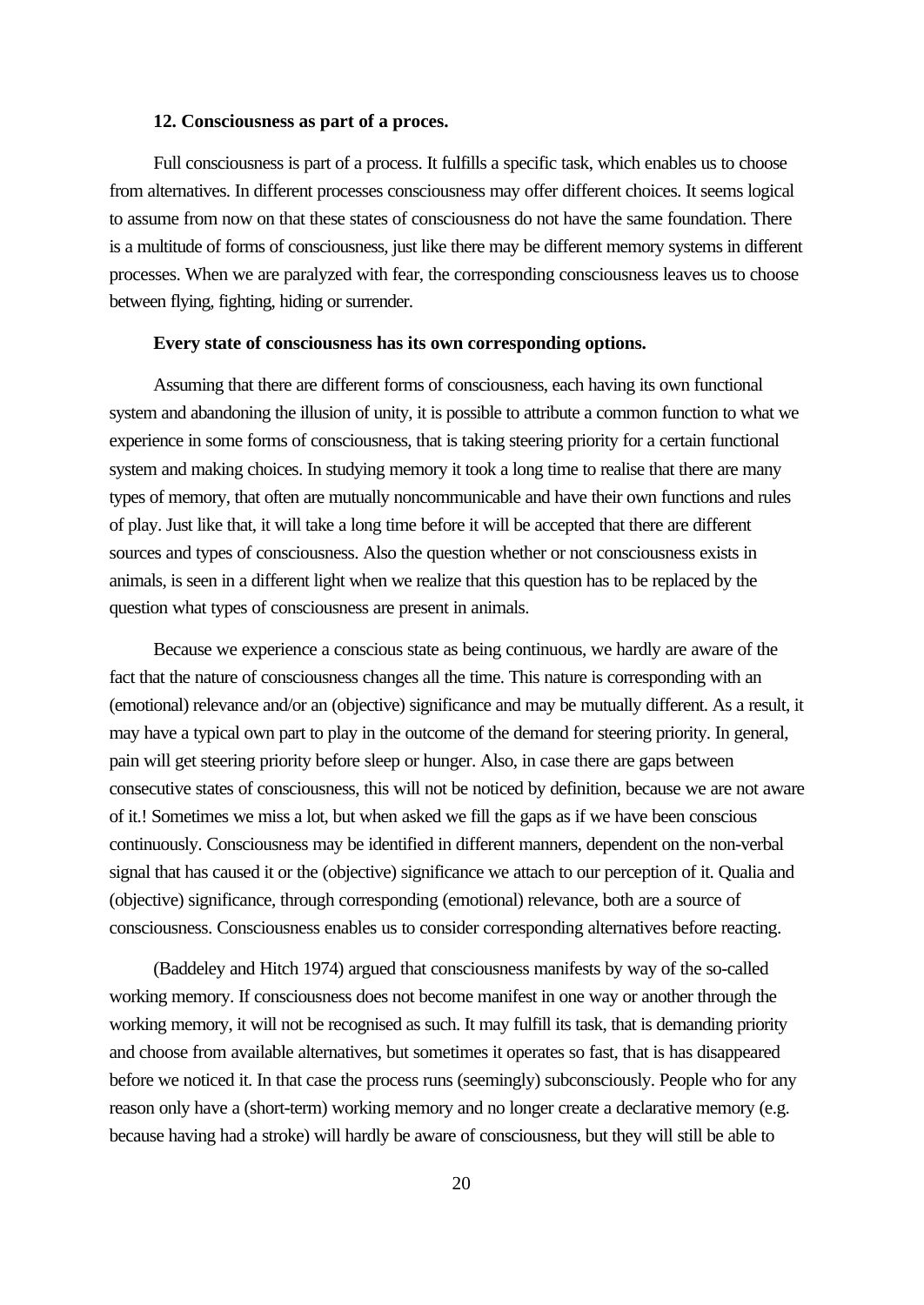#### **12. Consciousness as part of a proces.**

Full consciousness is part of a process. It fulfills a specific task, which enables us to choose from alternatives. In different processes consciousness may offer different choices. It seems logical to assume from now on that these states of consciousness do not have the same foundation. There is a multitude of forms of consciousness, just like there may be different memory systems in different processes. When we are paralyzed with fear, the corresponding consciousness leaves us to choose between flying, fighting, hiding or surrender.

#### **Every state of consciousness has its own corresponding options.**

Assuming that there are different forms of consciousness, each having its own functional system and abandoning the illusion of unity, it is possible to attribute a common function to what we experience in some forms of consciousness, that is taking steering priority for a certain functional system and making choices. In studying memory it took a long time to realise that there are many types of memory, that often are mutually noncommunicable and have their own functions and rules of play. Just like that, it will take a long time before it will be accepted that there are different sources and types of consciousness. Also the question whether or not consciousness exists in animals, is seen in a different light when we realize that this question has to be replaced by the question what types of consciousness are present in animals.

Because we experience a conscious state as being continuous, we hardly are aware of the fact that the nature of consciousness changes all the time. This nature is corresponding with an (emotional) relevance and/or an (objective) significance and may be mutually different. As a result, it may have a typical own part to play in the outcome of the demand for steering priority. In general, pain will get steering priority before sleep or hunger. Also, in case there are gaps between consecutive states of consciousness, this will not be noticed by definition, because we are not aware of it.! Sometimes we miss a lot, but when asked we fill the gaps as if we have been conscious continuously. Consciousness may be identified in different manners, dependent on the non-verbal signal that has caused it or the (objective) significance we attach to our perception of it. Qualia and (objective) significance, through corresponding (emotional) relevance, both are a source of consciousness. Consciousness enables us to consider corresponding alternatives before reacting.

(Baddeley and Hitch 1974) argued that consciousness manifests by way of the so-called working memory. If consciousness does not become manifest in one way or another through the working memory, it will not be recognised as such. It may fulfill its task, that is demanding priority and choose from available alternatives, but sometimes it operates so fast, that is has disappeared before we noticed it. In that case the process runs (seemingly) subconsciously. People who for any reason only have a (short-term) working memory and no longer create a declarative memory (e.g. because having had a stroke) will hardly be aware of consciousness, but they will still be able to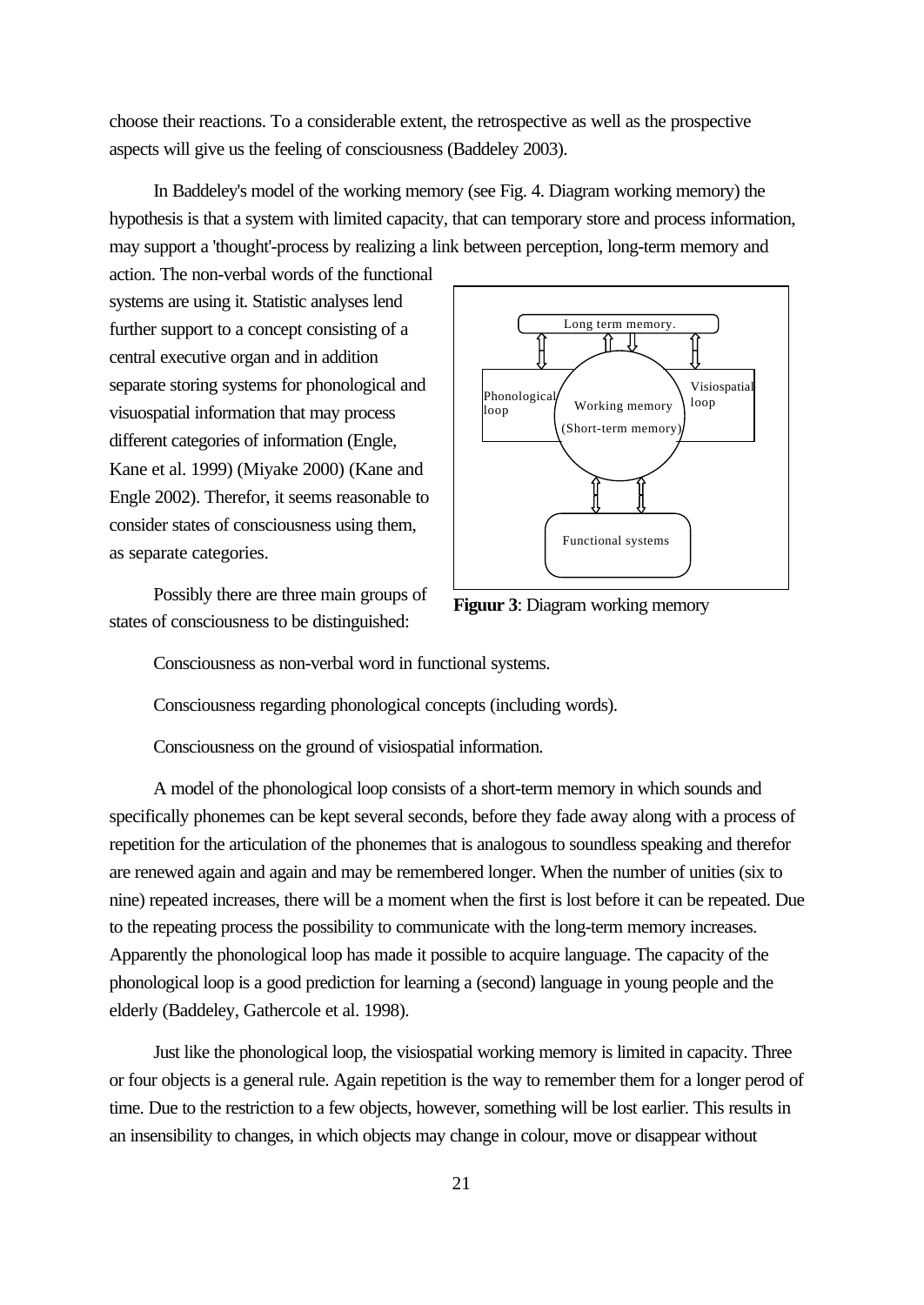choose their reactions. To a considerable extent, the retrospective as well as the prospective aspects will give us the feeling of consciousness (Baddeley 2003).

In Baddeley's model of the working memory (see Fig. 4. Diagram working memory) the hypothesis is that a system with limited capacity, that can temporary store and process information, may support a 'thought'-process by realizing a link between perception, long-term memory and

action. The non-verbal words of the functional systems are using it. Statistic analyses lend further support to a concept consisting of a central executive organ and in addition separate storing systems for phonological and visuospatial information that may process different categories of information (Engle, Kane et al. 1999) (Miyake 2000) (Kane and Engle 2002). Therefor, it seems reasonable to consider states of consciousness using them, as separate categories.

Possibly there are three main groups of states of consciousness to be distinguished:



**Figuur 3**: Diagram working memory

Consciousness as non-verbal word in functional systems.

Consciousness regarding phonological concepts (including words).

Consciousness on the ground of visiospatial information.

A model of the phonological loop consists of a short-term memory in which sounds and specifically phonemes can be kept several seconds, before they fade away along with a process of repetition for the articulation of the phonemes that is analogous to soundless speaking and therefor are renewed again and again and may be remembered longer. When the number of unities (six to nine) repeated increases, there will be a moment when the first is lost before it can be repeated. Due to the repeating process the possibility to communicate with the long-term memory increases. Apparently the phonological loop has made it possible to acquire language. The capacity of the phonological loop is a good prediction for learning a (second) language in young people and the elderly (Baddeley, Gathercole et al. 1998).

Just like the phonological loop, the visiospatial working memory is limited in capacity. Three or four objects is a general rule. Again repetition is the way to remember them for a longer perod of time. Due to the restriction to a few objects, however, something will be lost earlier. This results in an insensibility to changes, in which objects may change in colour, move or disappear without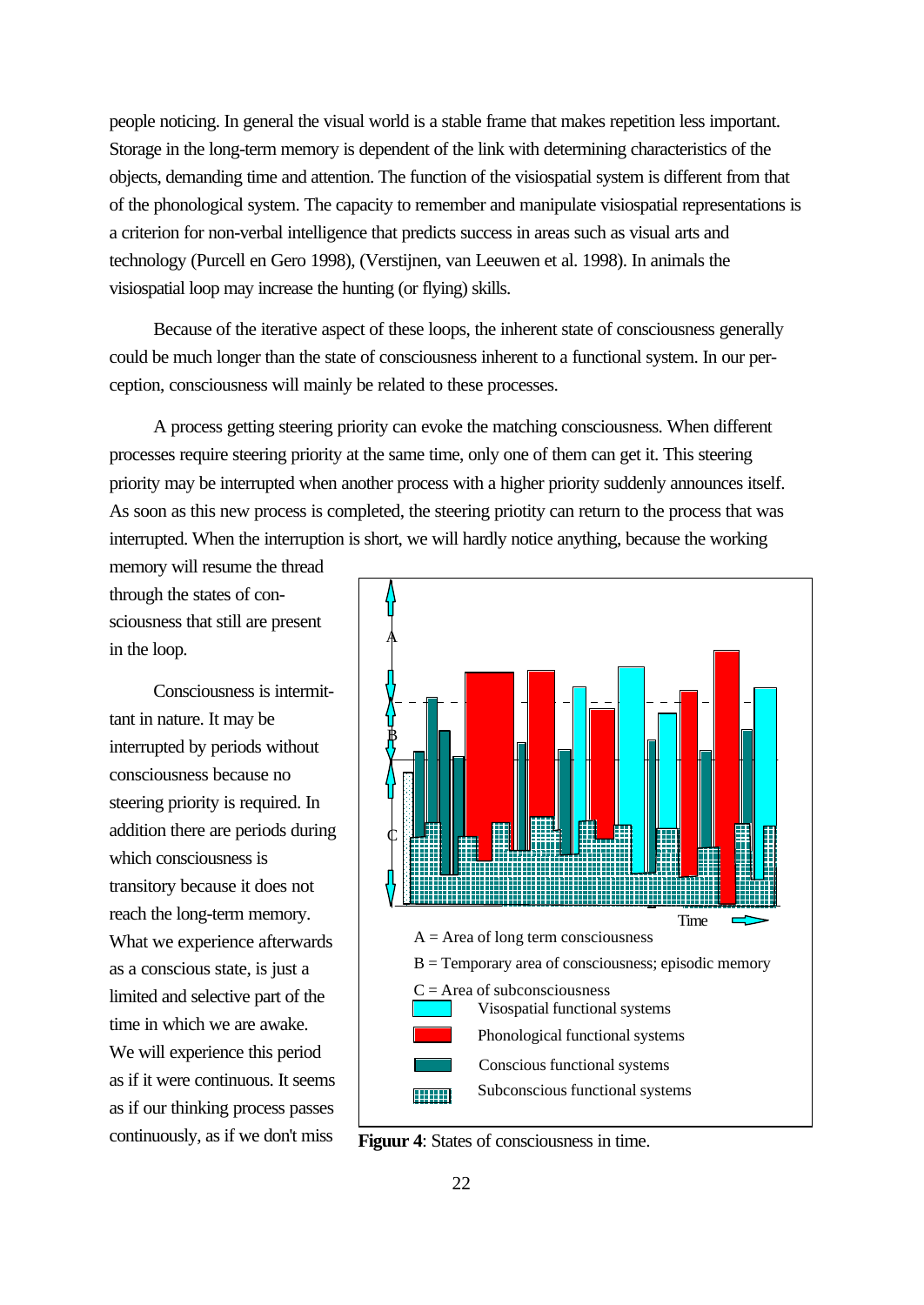people noticing. In general the visual world is a stable frame that makes repetition less important. Storage in the long-term memory is dependent of the link with determining characteristics of the objects, demanding time and attention. The function of the visiospatial system is different from that of the phonological system. The capacity to remember and manipulate visiospatial representations is a criterion for non-verbal intelligence that predicts success in areas such as visual arts and technology (Purcell en Gero 1998), (Verstijnen, van Leeuwen et al. 1998). In animals the visiospatial loop may increase the hunting (or flying) skills.

Because of the iterative aspect of these loops, the inherent state of consciousness generally could be much longer than the state of consciousness inherent to a functional system. In our perception, consciousness will mainly be related to these processes.

A process getting steering priority can evoke the matching consciousness. When different processes require steering priority at the same time, only one of them can get it. This steering priority may be interrupted when another process with a higher priority suddenly announces itself. As soon as this new process is completed, the steering priotity can return to the process that was interrupted. When the interruption is short, we will hardly notice anything, because the working

memory will resume the thread through the states of consciousness that still are present in the loop.

Consciousness is intermittant in nature. It may be interrupted by periods without consciousness because no steering priority is required. In addition there are periods during which consciousness is transitory because it does not reach the long-term memory. What we experience afterwards as a conscious state, is just a limited and selective part of the time in which we are awake. We will experience this period as if it were continuous. It seems as if our thinking process passes continuously, as if we don't miss



**Figuur 4**: States of consciousness in time.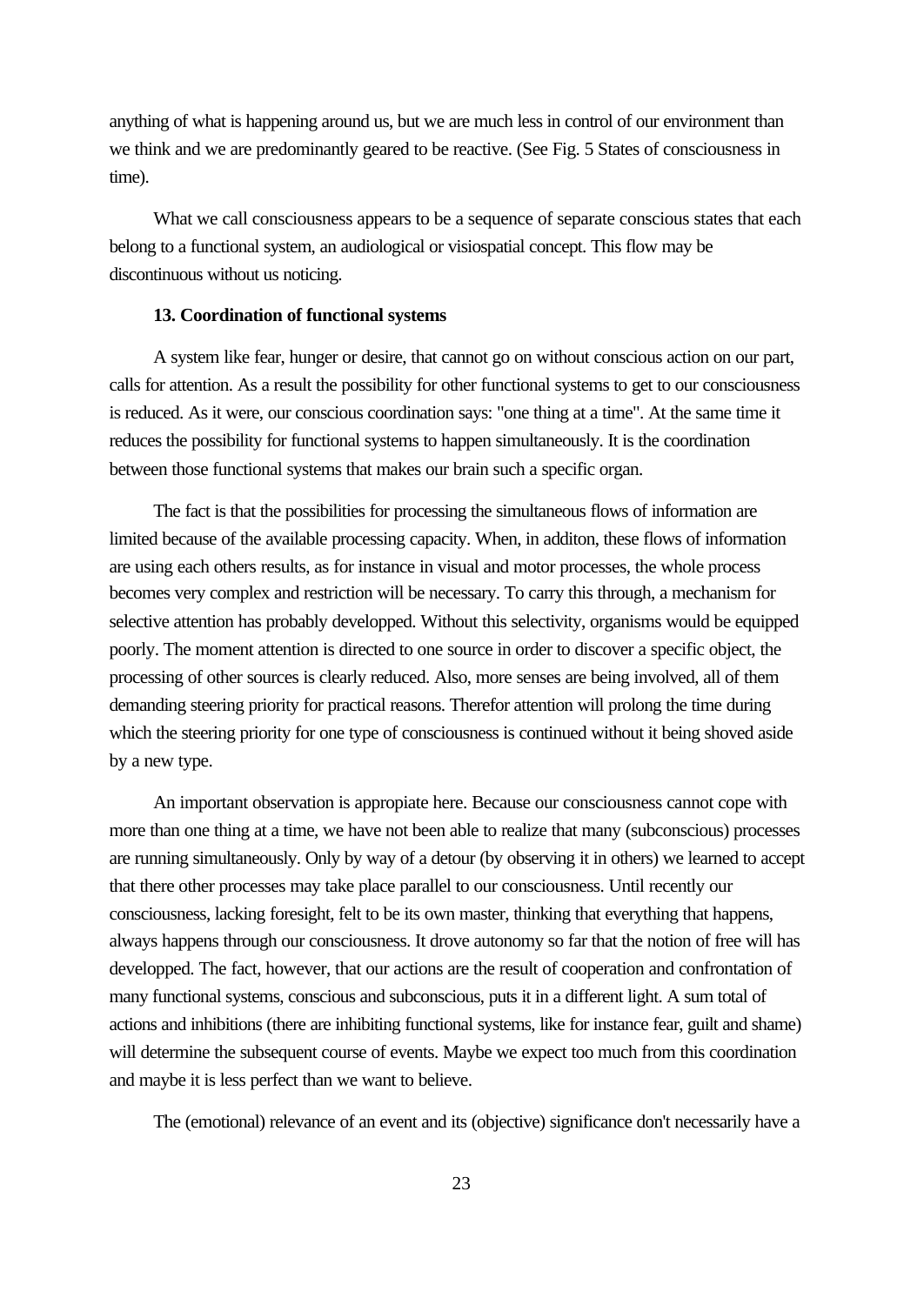anything of what is happening around us, but we are much less in control of our environment than we think and we are predominantly geared to be reactive. (See Fig. 5 States of consciousness in time).

What we call consciousness appears to be a sequence of separate conscious states that each belong to a functional system, an audiological or visiospatial concept. This flow may be discontinuous without us noticing.

## **13. Coordination of functional systems**

A system like fear, hunger or desire, that cannot go on without conscious action on our part, calls for attention. As a result the possibility for other functional systems to get to our consciousness is reduced. As it were, our conscious coordination says: "one thing at a time". At the same time it reduces the possibility for functional systems to happen simultaneously. It is the coordination between those functional systems that makes our brain such a specific organ.

The fact is that the possibilities for processing the simultaneous flows of information are limited because of the available processing capacity. When, in additon, these flows of information are using each others results, as for instance in visual and motor processes, the whole process becomes very complex and restriction will be necessary. To carry this through, a mechanism for selective attention has probably developped. Without this selectivity, organisms would be equipped poorly. The moment attention is directed to one source in order to discover a specific object, the processing of other sources is clearly reduced. Also, more senses are being involved, all of them demanding steering priority for practical reasons. Therefor attention will prolong the time during which the steering priority for one type of consciousness is continued without it being shoved aside by a new type.

An important observation is appropiate here. Because our consciousness cannot cope with more than one thing at a time, we have not been able to realize that many (subconscious) processes are running simultaneously. Only by way of a detour (by observing it in others) we learned to accept that there other processes may take place parallel to our consciousness. Until recently our consciousness, lacking foresight, felt to be its own master, thinking that everything that happens, always happens through our consciousness. It drove autonomy so far that the notion of free will has developped. The fact, however, that our actions are the result of cooperation and confrontation of many functional systems, conscious and subconscious, puts it in a different light. A sum total of actions and inhibitions (there are inhibiting functional systems, like for instance fear, guilt and shame) will determine the subsequent course of events. Maybe we expect too much from this coordination and maybe it is less perfect than we want to believe.

The (emotional) relevance of an event and its (objective) significance don't necessarily have a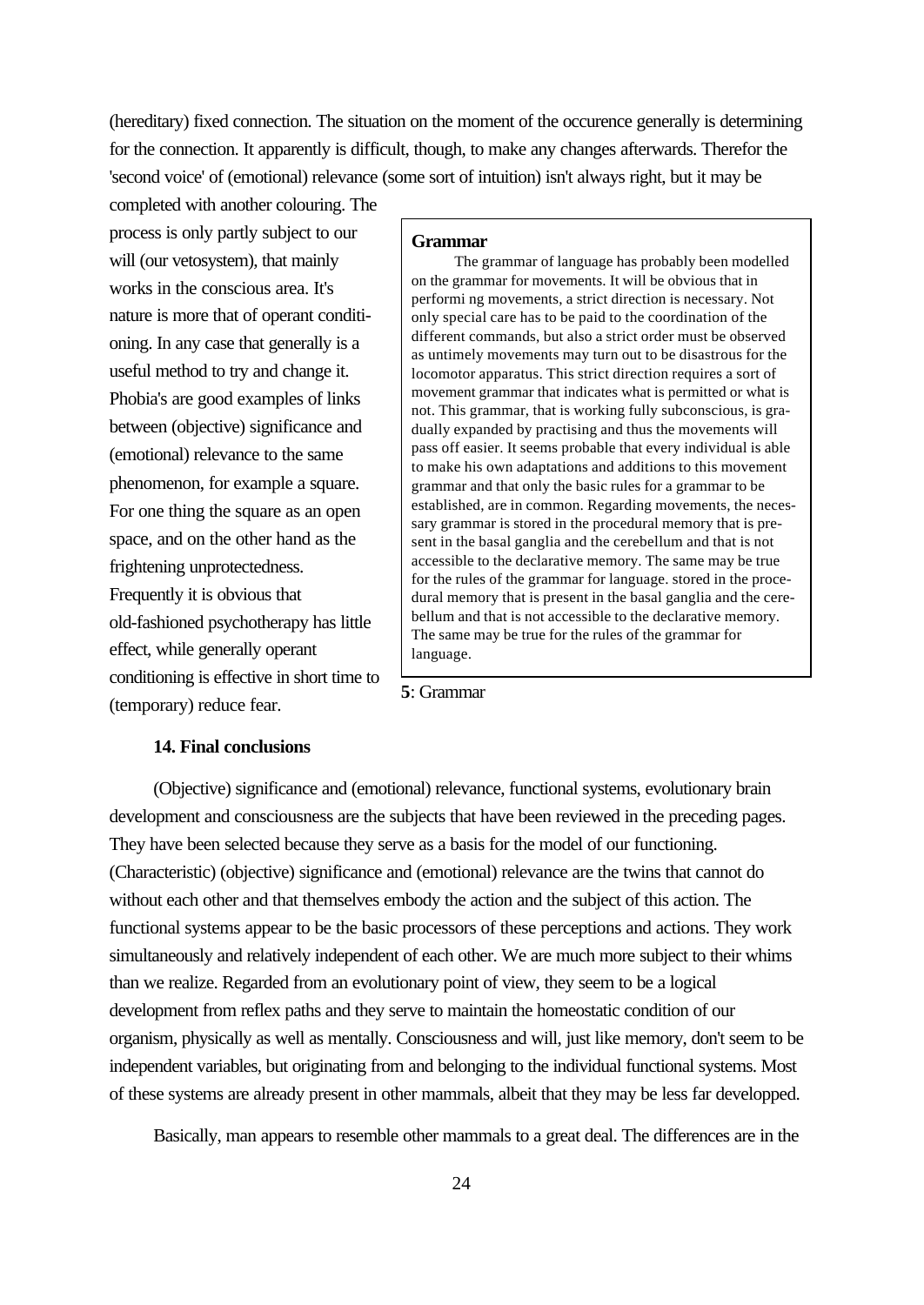(hereditary) fixed connection. The situation on the moment of the occurence generally is determining for the connection. It apparently is difficult, though, to make any changes afterwards. Therefor the 'second voice' of (emotional) relevance (some sort of intuition) isn't always right, but it may be

completed with another colouring. The process is only partly subject to our will (our vetosystem), that mainly works in the conscious area. It's nature is more that of operant conditioning. In any case that generally is a useful method to try and change it. Phobia's are good examples of links between (objective) significance and (emotional) relevance to the same phenomenon, for example a square. For one thing the square as an open space, and on the other hand as the frightening unprotectedness. Frequently it is obvious that old-fashioned psychotherapy has little effect, while generally operant conditioning is effective in short time to (temporary) reduce fear.

# **14. Final conclusions**

## **Grammar**

The grammar of language has probably been modelled on the grammar for movements. It will be obvious that in performi ng movements, a strict direction is necessary. Not only special care has to be paid to the coordination of the different commands, but also a strict order must be observed as untimely movements may turn out to be disastrous for the locomotor apparatus. This strict direction requires a sort of movement grammar that indicates what is permitted or what is not. This grammar, that is working fully subconscious, is gradually expanded by practising and thus the movements will pass off easier. It seems probable that every individual is able to make his own adaptations and additions to this movement grammar and that only the basic rules for a grammar to be established, are in common. Regarding movements, the necessary grammar is stored in the procedural memory that is present in the basal ganglia and the cerebellum and that is not accessible to the declarative memory. The same may be true for the rules of the grammar for language. stored in the procedural memory that is present in the basal ganglia and the cerebellum and that is not accessible to the declarative memory. The same may be true for the rules of the grammar for language.

(Objective) significance and (emotional) relevance, functional systems, evolutionary brain development and consciousness are the subjects that have been reviewed in the preceding pages. They have been selected because they serve as a basis for the model of our functioning. (Characteristic) (objective) significance and (emotional) relevance are the twins that cannot do without each other and that themselves embody the action and the subject of this action. The functional systems appear to be the basic processors of these perceptions and actions. They work simultaneously and relatively independent of each other. We are much more subject to their whims than we realize. Regarded from an evolutionary point of view, they seem to be a logical development from reflex paths and they serve to maintain the homeostatic condition of our organism, physically as well as mentally. Consciousness and will, just like memory, don't seem to be independent variables, but originating from and belonging to the individual functional systems. Most of these systems are already present in other mammals, albeit that they may be less far developped.

**5**: Grammar

Basically, man appears to resemble other mammals to a great deal. The differences are in the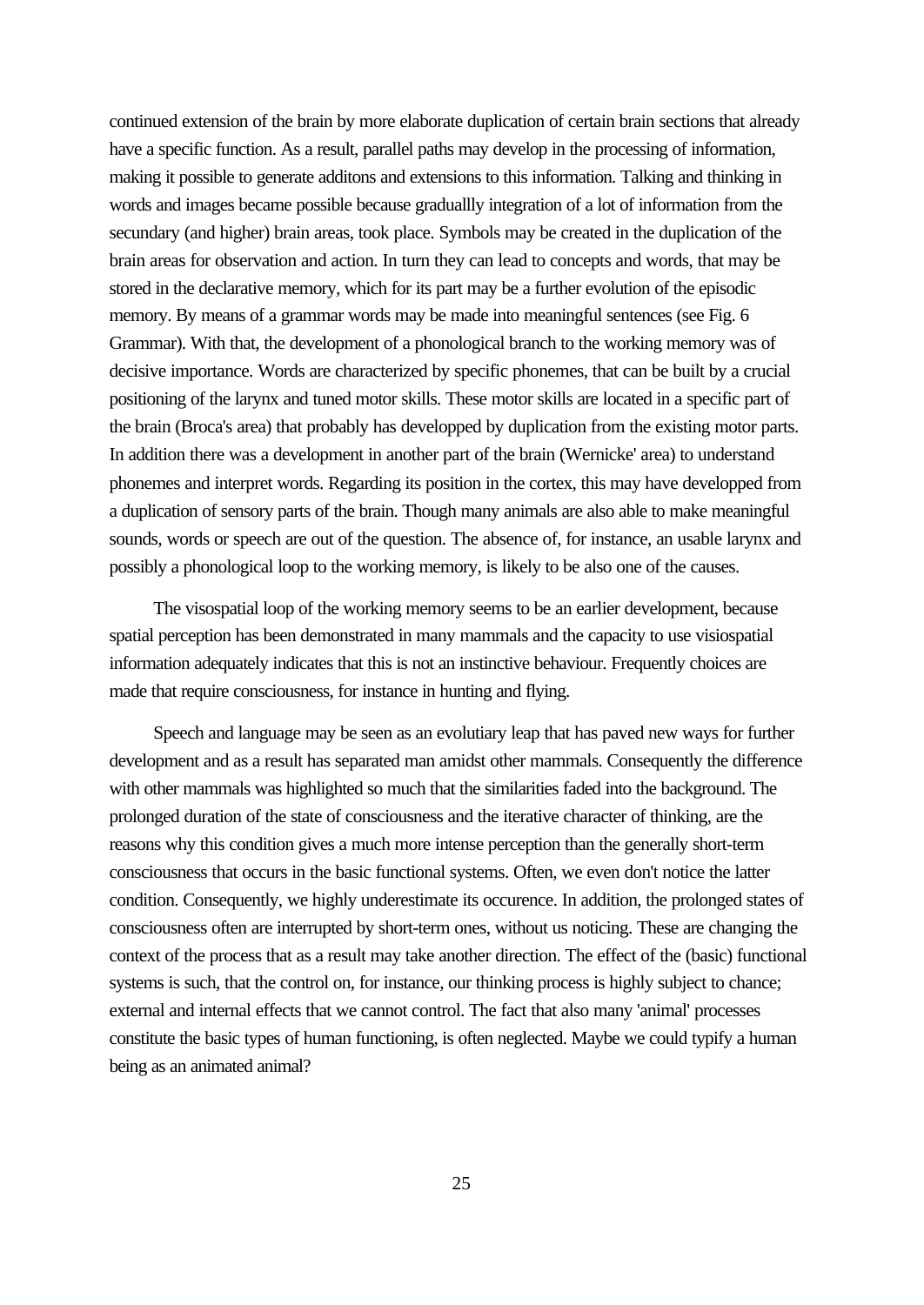continued extension of the brain by more elaborate duplication of certain brain sections that already have a specific function. As a result, parallel paths may develop in the processing of information, making it possible to generate additons and extensions to this information. Talking and thinking in words and images became possible because graduallly integration of a lot of information from the secundary (and higher) brain areas, took place. Symbols may be created in the duplication of the brain areas for observation and action. In turn they can lead to concepts and words, that may be stored in the declarative memory, which for its part may be a further evolution of the episodic memory. By means of a grammar words may be made into meaningful sentences (see Fig. 6 Grammar). With that, the development of a phonological branch to the working memory was of decisive importance. Words are characterized by specific phonemes, that can be built by a crucial positioning of the larynx and tuned motor skills. These motor skills are located in a specific part of the brain (Broca's area) that probably has developped by duplication from the existing motor parts. In addition there was a development in another part of the brain (Wernicke' area) to understand phonemes and interpret words. Regarding its position in the cortex, this may have developped from a duplication of sensory parts of the brain. Though many animals are also able to make meaningful sounds, words or speech are out of the question. The absence of, for instance, an usable larynx and possibly a phonological loop to the working memory, is likely to be also one of the causes.

The visospatial loop of the working memory seems to be an earlier development, because spatial perception has been demonstrated in many mammals and the capacity to use visiospatial information adequately indicates that this is not an instinctive behaviour. Frequently choices are made that require consciousness, for instance in hunting and flying.

Speech and language may be seen as an evolutiary leap that has paved new ways for further development and as a result has separated man amidst other mammals. Consequently the difference with other mammals was highlighted so much that the similarities faded into the background. The prolonged duration of the state of consciousness and the iterative character of thinking, are the reasons why this condition gives a much more intense perception than the generally short-term consciousness that occurs in the basic functional systems. Often, we even don't notice the latter condition. Consequently, we highly underestimate its occurence. In addition, the prolonged states of consciousness often are interrupted by short-term ones, without us noticing. These are changing the context of the process that as a result may take another direction. The effect of the (basic) functional systems is such, that the control on, for instance, our thinking process is highly subject to chance; external and internal effects that we cannot control. The fact that also many 'animal' processes constitute the basic types of human functioning, is often neglected. Maybe we could typify a human being as an animated animal?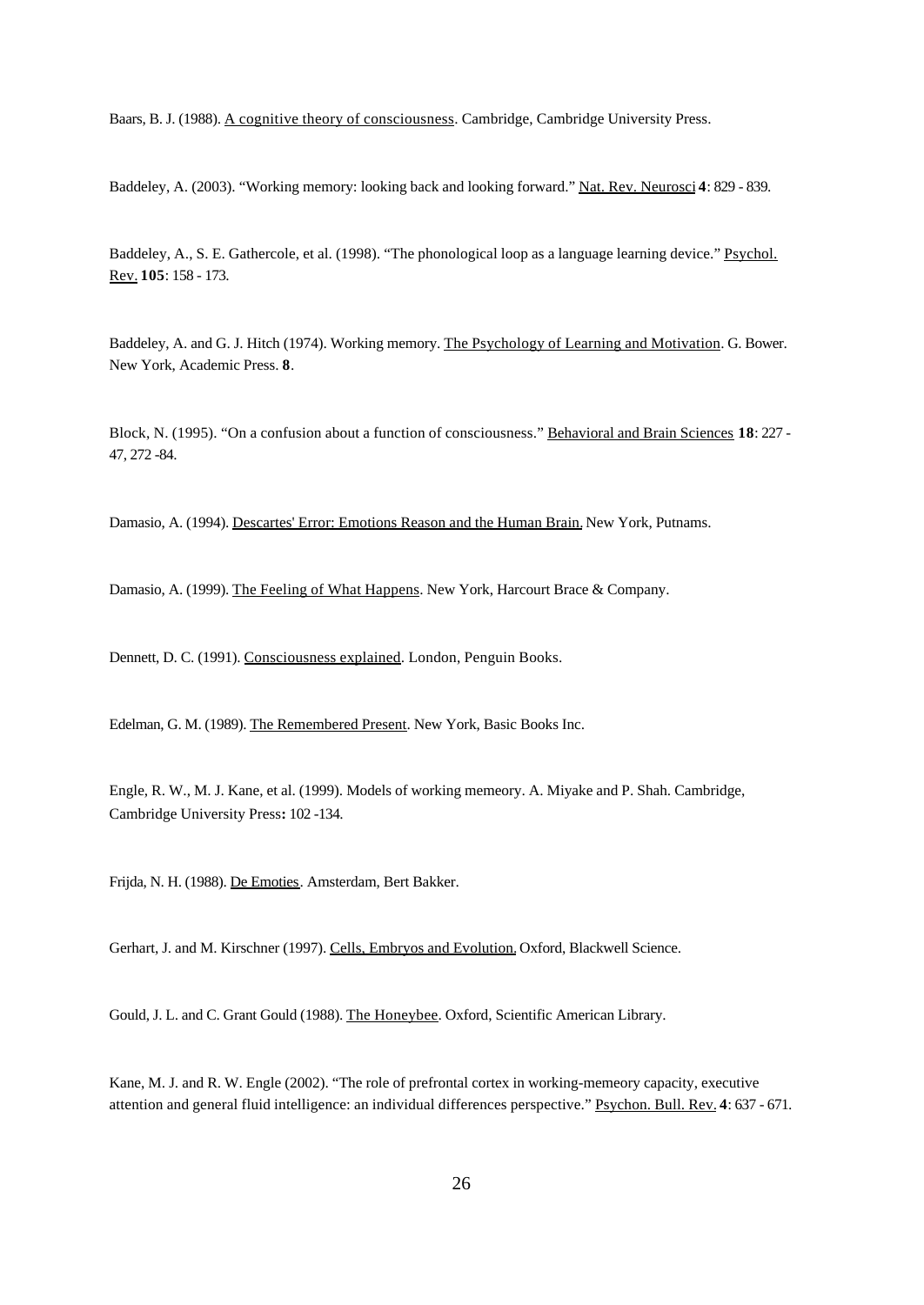Baars, B. J. (1988). A cognitive theory of consciousness. Cambridge, Cambridge University Press.

Baddeley, A. (2003). "Working memory: looking back and looking forward." Nat. Rev. Neurosci **4**: 829 - 839.

Baddeley, A., S. E. Gathercole, et al. (1998). "The phonological loop as a language learning device." Psychol. Rev. **105**: 158 - 173.

Baddeley, A. and G. J. Hitch (1974). Working memory. The Psychology of Learning and Motivation. G. Bower. New York, Academic Press. **8**.

Block, N. (1995). "On a confusion about a function of consciousness." Behavioral and Brain Sciences **18**: 227 - 47, 272 -84.

Damasio, A. (1994). Descartes' Error: Emotions Reason and the Human Brain. New York, Putnams.

Damasio, A. (1999). The Feeling of What Happens. New York, Harcourt Brace & Company.

Dennett, D. C. (1991). Consciousness explained. London, Penguin Books.

Edelman, G. M. (1989). The Remembered Present. New York, Basic Books Inc.

Engle, R. W., M. J. Kane, et al. (1999). Models of working memeory. A. Miyake and P. Shah. Cambridge, Cambridge University Press**:** 102 -134.

Frijda, N. H. (1988). De Emoties. Amsterdam, Bert Bakker.

Gerhart, J. and M. Kirschner (1997). Cells, Embryos and Evolution. Oxford, Blackwell Science.

Gould, J. L. and C. Grant Gould (1988). The Honeybee. Oxford, Scientific American Library.

Kane, M. J. and R. W. Engle (2002). "The role of prefrontal cortex in working-memeory capacity, executive attention and general fluid intelligence: an individual differences perspective." Psychon. Bull. Rev. **4**: 637 - 671.